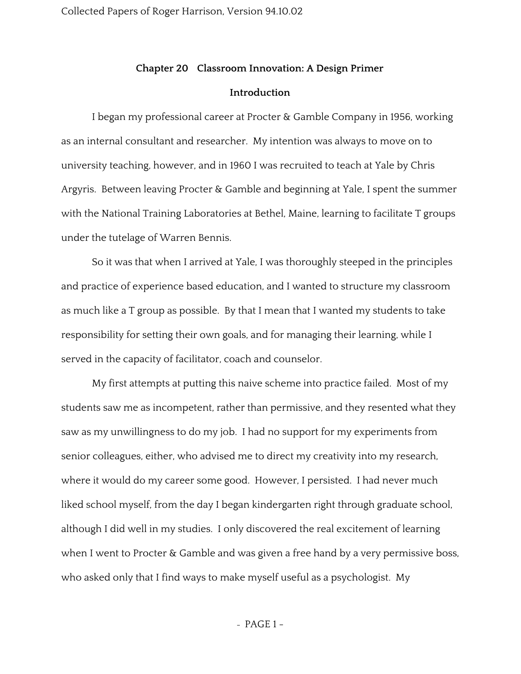# **Chapter 20 Classroom Innovation: A Design Primer**

# **Introduction**

I began my professional career at Procter & Gamble Company in 1956, working as an internal consultant and researcher. My intention was always to move on to university teaching, however, and in 1960 I was recruited to teach at Yale by Chris Argyris. Between leaving Procter & Gamble and beginning at Yale, I spent the summer with the National Training Laboratories at Bethel, Maine, learning to facilitate T groups under the tutelage of Warren Bennis.

So it was that when I arrived at Yale, I was thoroughly steeped in the principles and practice of experience based education, and I wanted to structure my classroom as much like a T group as possible. By that I mean that I wanted my students to take responsibility for setting their own goals, and for managing their learning, while I served in the capacity of facilitator, coach and counselor.

My first attempts at putting this naive scheme into practice failed. Most of my students saw me as incompetent, rather than permissive, and they resented what they saw as my unwillingness to do my job. I had no support for my experiments from senior colleagues, either, who advised me to direct my creativity into my research, where it would do my career some good. However, I persisted. I had never much liked school myself, from the day I began kindergarten right through graduate school, although I did well in my studies. I only discovered the real excitement of learning when I went to Procter & Gamble and was given a free hand by a very permissive boss, who asked only that I find ways to make myself useful as a psychologist. My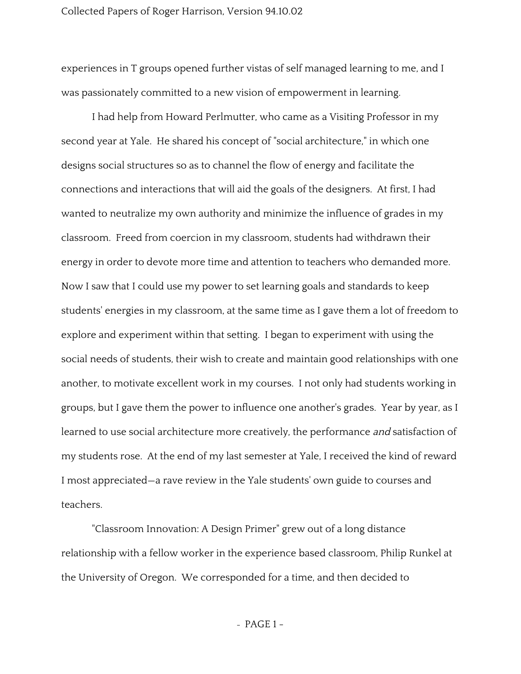experiences in T groups opened further vistas of self managed learning to me, and I was passionately committed to a new vision of empowerment in learning.

I had help from Howard Perlmutter, who came as a Visiting Professor in my second year at Yale. He shared his concept of "social architecture," in which one designs social structures so as to channel the flow of energy and facilitate the connections and interactions that will aid the goals of the designers. At first, I had wanted to neutralize my own authority and minimize the influence of grades in my classroom. Freed from coercion in my classroom, students had withdrawn their energy in order to devote more time and attention to teachers who demanded more. Now I saw that I could use my power to set learning goals and standards to keep students' energies in my classroom, at the same time as I gave them a lot of freedom to explore and experiment within that setting. I began to experiment with using the social needs of students, their wish to create and maintain good relationships with one another, to motivate excellent work in my courses. I not only had students working in groups, but I gave them the power to influence one another's grades. Year by year, as I learned to use social architecture more creatively, the performance and satisfaction of my students rose. At the end of my last semester at Yale, I received the kind of reward I most appreciated—a rave review in the Yale students' own guide to courses and teachers.

"Classroom Innovation: A Design Primer" grew out of a long distance relationship with a fellow worker in the experience based classroom, Philip Runkel at the University of Oregon. We corresponded for a time, and then decided to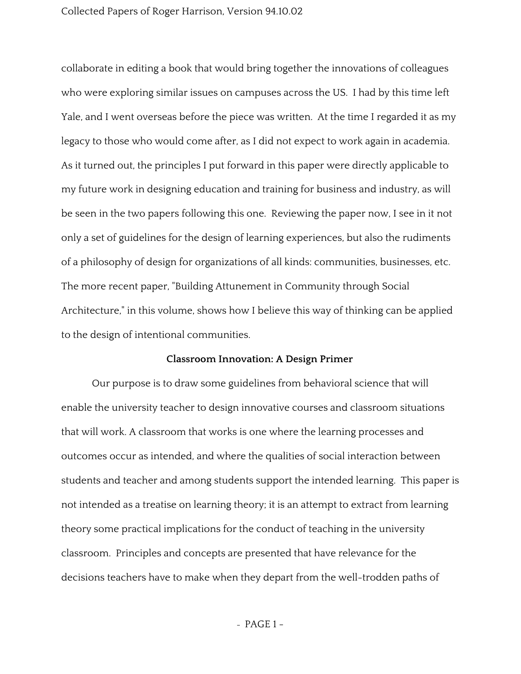collaborate in editing a book that would bring together the innovations of colleagues who were exploring similar issues on campuses across the US. I had by this time left Yale, and I went overseas before the piece was written. At the time I regarded it as my legacy to those who would come after, as I did not expect to work again in academia. As it turned out, the principles I put forward in this paper were directly applicable to my future work in designing education and training for business and industry, as will be seen in the two papers following this one. Reviewing the paper now, I see in it not only a set of guidelines for the design of learning experiences, but also the rudiments of a philosophy of design for organizations of all kinds: communities, businesses, etc. The more recent paper, "Building Attunement in Community through Social Architecture," in this volume, shows how I believe this way of thinking can be applied to the design of intentional communities.

#### **Classroom Innovation: A Design Primer**

Our purpose is to draw some guidelines from behavioral science that will enable the university teacher to design innovative courses and classroom situations that will work. A classroom that works is one where the learning processes and outcomes occur as intended, and where the qualities of social interaction between students and teacher and among students support the intended learning. This paper is not intended as a treatise on learning theory; it is an attempt to extract from learning theory some practical implications for the conduct of teaching in the university classroom. Principles and concepts are presented that have relevance for the decisions teachers have to make when they depart from the well-trodden paths of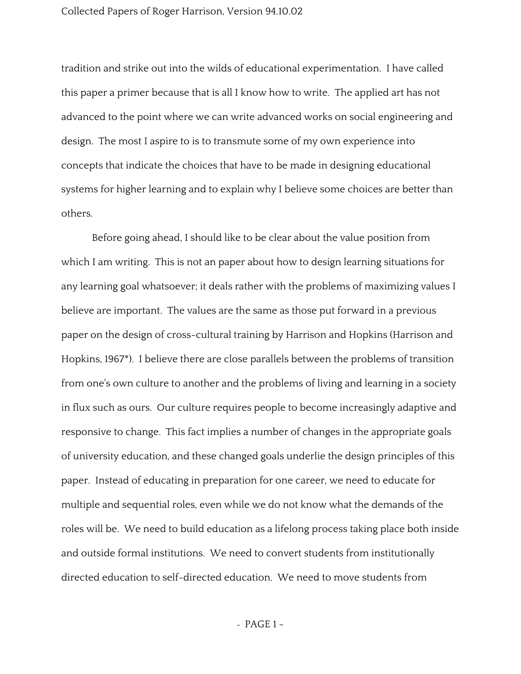tradition and strike out into the wilds of educational experimentation. I have called this paper a primer because that is all I know how to write. The applied art has not advanced to the point where we can write advanced works on social engineering and design. The most I aspire to is to transmute some of my own experience into concepts that indicate the choices that have to be made in designing educational systems for higher learning and to explain why I believe some choices are better than others.

Before going ahead, I should like to be clear about the value position from which I am writing. This is not an paper about how to design learning situations for any learning goal whatsoever; it deals rather with the problems of maximizing values I believe are important. The values are the same as those put forward in a previous paper on the design of cross-cultural training by Harrison and Hopkins (Harrison and Hopkins, 1967\*). I believe there are close parallels between the problems of transition from one's own culture to another and the problems of living and learning in a society in flux such as ours. Our culture requires people to become increasingly adaptive and responsive to change. This fact implies a number of changes in the appropriate goals of university education, and these changed goals underlie the design principles of this paper. Instead of educating in preparation for one career, we need to educate for multiple and sequential roles, even while we do not know what the demands of the roles will be. We need to build education as a lifelong process taking place both inside and outside formal institutions. We need to convert students from institutionally directed education to self-directed education. We need to move students from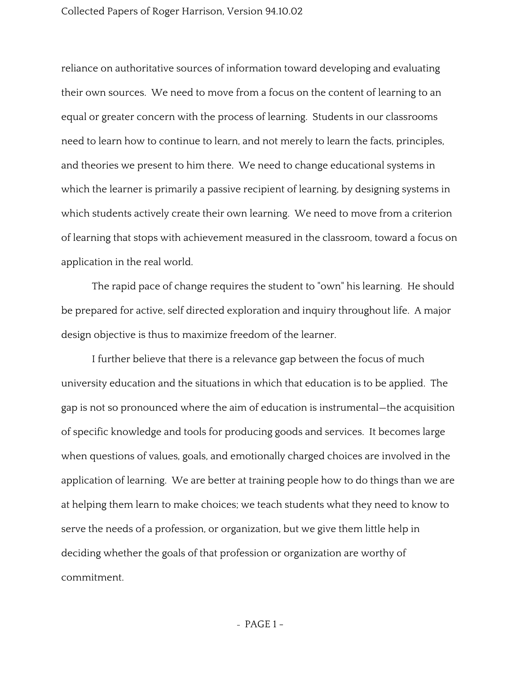reliance on authoritative sources of information toward developing and evaluating their own sources. We need to move from a focus on the content of learning to an equal or greater concern with the process of learning. Students in our classrooms need to learn how to continue to learn, and not merely to learn the facts, principles, and theories we present to him there. We need to change educational systems in which the learner is primarily a passive recipient of learning, by designing systems in which students actively create their own learning. We need to move from a criterion of learning that stops with achievement measured in the classroom, toward a focus on application in the real world.

The rapid pace of change requires the student to "own" his learning. He should be prepared for active, self directed exploration and inquiry throughout life. A major design objective is thus to maximize freedom of the learner.

I further believe that there is a relevance gap between the focus of much university education and the situations in which that education is to be applied. The gap is not so pronounced where the aim of education is instrumental—the acquisition of specific knowledge and tools for producing goods and services. It becomes large when questions of values, goals, and emotionally charged choices are involved in the application of learning. We are better at training people how to do things than we are at helping them learn to make choices; we teach students what they need to know to serve the needs of a profession, or organization, but we give them little help in deciding whether the goals of that profession or organization are worthy of commitment.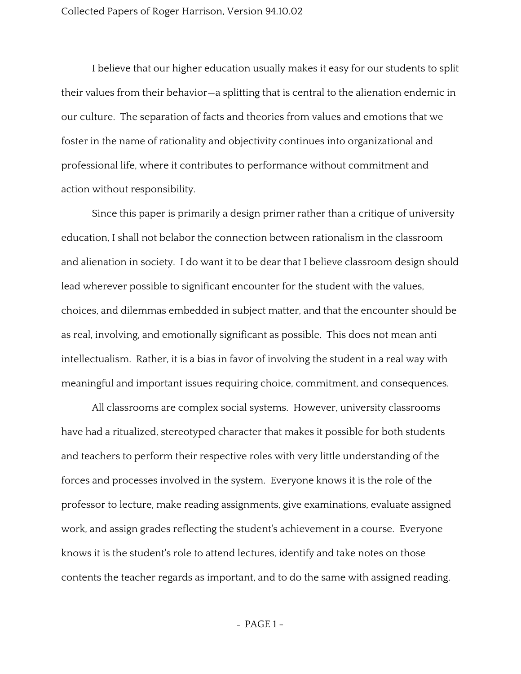I believe that our higher education usually makes it easy for our students to split their values from their behavior—a splitting that is central to the alienation endemic in our culture. The separation of facts and theories from values and emotions that we foster in the name of rationality and objectivity continues into organizational and professional life, where it contributes to performance without commitment and action without responsibility.

Since this paper is primarily a design primer rather than a critique of university education, I shall not belabor the connection between rationalism in the classroom and alienation in society. I do want it to be dear that I believe classroom design should lead wherever possible to significant encounter for the student with the values, choices, and dilemmas embedded in subject matter, and that the encounter should be as real, involving, and emotionally significant as possible. This does not mean anti intellectualism. Rather, it is a bias in favor of involving the student in a real way with meaningful and important issues requiring choice, commitment, and consequences.

All classrooms are complex social systems. However, university classrooms have had a ritualized, stereotyped character that makes it possible for both students and teachers to perform their respective roles with very little understanding of the forces and processes involved in the system. Everyone knows it is the role of the professor to lecture, make reading assignments, give examinations, evaluate assigned work, and assign grades reflecting the student's achievement in a course. Everyone knows it is the student's role to attend lectures, identify and take notes on those contents the teacher regards as important, and to do the same with assigned reading.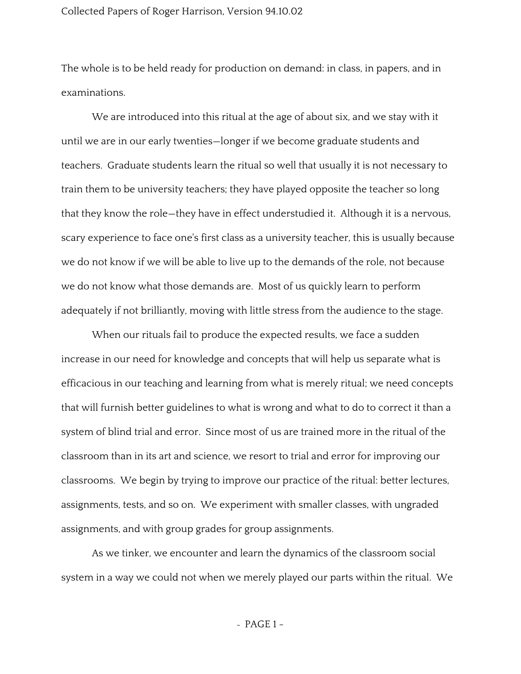The whole is to be held ready for production on demand: in class, in papers, and in examinations.

We are introduced into this ritual at the age of about six, and we stay with it until we are in our early twenties—longer if we become graduate students and teachers. Graduate students learn the ritual so well that usually it is not necessary to train them to be university teachers; they have played opposite the teacher so long that they know the role—they have in effect understudied it. Although it is a nervous, scary experience to face one's first class as a university teacher, this is usually because we do not know if we will be able to live up to the demands of the role, not because we do not know what those demands are. Most of us quickly learn to perform adequately if not brilliantly, moving with little stress from the audience to the stage.

When our rituals fail to produce the expected results, we face a sudden increase in our need for knowledge and concepts that will help us separate what is efficacious in our teaching and learning from what is merely ritual; we need concepts that will furnish better guidelines to what is wrong and what to do to correct it than a system of blind trial and error. Since most of us are trained more in the ritual of the classroom than in its art and science, we resort to trial and error for improving our classrooms. We begin by trying to improve our practice of the ritual: better lectures, assignments, tests, and so on. We experiment with smaller classes, with ungraded assignments, and with group grades for group assignments.

As we tinker, we encounter and learn the dynamics of the classroom social system in a way we could not when we merely played our parts within the ritual. We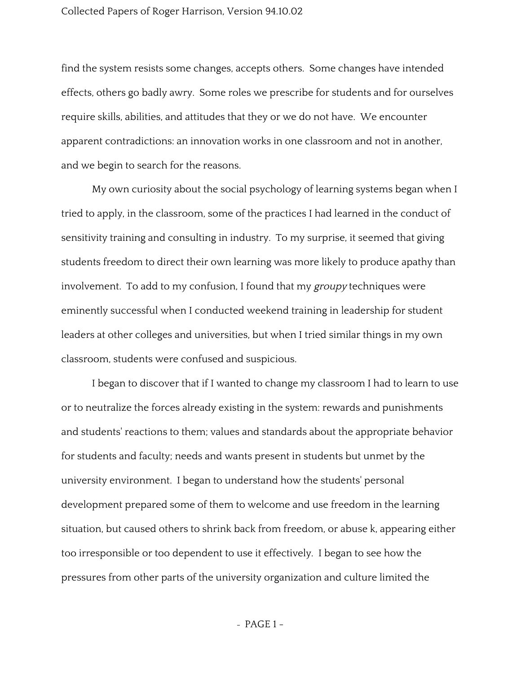find the system resists some changes, accepts others. Some changes have intended effects, others go badly awry. Some roles we prescribe for students and for ourselves require skills, abilities, and attitudes that they or we do not have. We encounter apparent contradictions: an innovation works in one classroom and not in another, and we begin to search for the reasons.

My own curiosity about the social psychology of learning systems began when I tried to apply, in the classroom, some of the practices I had learned in the conduct of sensitivity training and consulting in industry. To my surprise, it seemed that giving students freedom to direct their own learning was more likely to produce apathy than involvement. To add to my confusion, I found that my groupy techniques were eminently successful when I conducted weekend training in leadership for student leaders at other colleges and universities, but when I tried similar things in my own classroom, students were confused and suspicious.

I began to discover that if I wanted to change my classroom I had to learn to use or to neutralize the forces already existing in the system: rewards and punishments and students' reactions to them; values and standards about the appropriate behavior for students and faculty; needs and wants present in students but unmet by the university environment. I began to understand how the students' personal development prepared some of them to welcome and use freedom in the learning situation, but caused others to shrink back from freedom, or abuse k, appearing either too irresponsible or too dependent to use it effectively. I began to see how the pressures from other parts of the university organization and culture limited the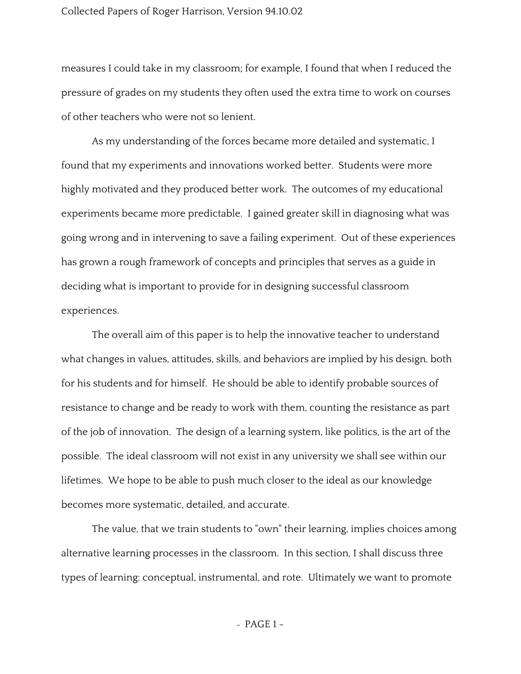measures I could take in my classroom; for example, I found that when I reduced the pressure of grades on my students they often used the extra time to work on courses of other teachers who were not so lenient.

As my understanding of the forces became more detailed and systematic, I found that my experiments and innovations worked better. Students were more highly motivated and they produced better work. The outcomes of my educational experiments became more predictable. I gained greater skill in diagnosing what was going wrong and in intervening to save a failing experiment. Out of these experiences has grown a rough framework of concepts and principles that serves as a guide in deciding what is important to provide for in designing successful classroom experiences.

The overall aim of this paper is to help the innovative teacher to understand what changes in values, attitudes, skills, and behaviors are implied by his design, both for his students and for himself. He should be able to identify probable sources of resistance to change and be ready to work with them, counting the resistance as part of the job of innovation. The design of a learning system, like politics, is the art of the possible. The ideal classroom will not exist in any university we shall see within our lifetimes. We hope to be able to push much closer to the ideal as our knowledge becomes more systematic, detailed, and accurate.

The value, that we train students to "own" their learning, implies choices among alternative learning processes in the classroom. In this section, I shall discuss three types of learning: conceptual, instrumental, and rote. Ultimately we want to promote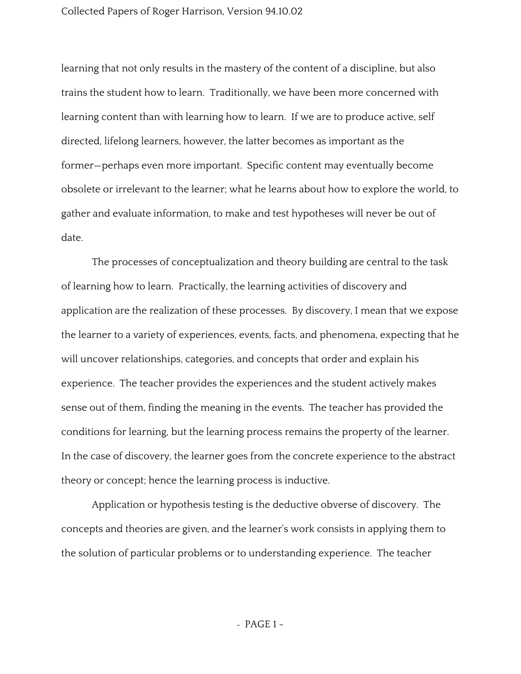learning that not only results in the mastery of the content of a discipline, but also trains the student how to learn. Traditionally, we have been more concerned with learning content than with learning how to learn. If we are to produce active, self directed, lifelong learners, however, the latter becomes as important as the former—perhaps even more important. Specific content may eventually become obsolete or irrelevant to the learner; what he learns about how to explore the world, to gather and evaluate information, to make and test hypotheses will never be out of date.

The processes of conceptualization and theory building are central to the task of learning how to learn. Practically, the learning activities of discovery and application are the realization of these processes. By discovery, I mean that we expose the learner to a variety of experiences, events, facts, and phenomena, expecting that he will uncover relationships, categories, and concepts that order and explain his experience. The teacher provides the experiences and the student actively makes sense out of them, finding the meaning in the events. The teacher has provided the conditions for learning, but the learning process remains the property of the learner. In the case of discovery, the learner goes from the concrete experience to the abstract theory or concept; hence the learning process is inductive.

Application or hypothesis testing is the deductive obverse of discovery. The concepts and theories are given, and the learner's work consists in applying them to the solution of particular problems or to understanding experience. The teacher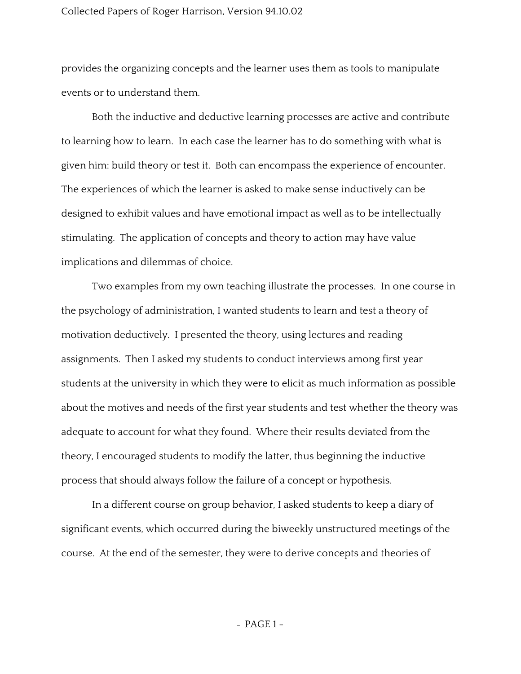provides the organizing concepts and the learner uses them as tools to manipulate events or to understand them.

Both the inductive and deductive learning processes are active and contribute to learning how to learn. In each case the learner has to do something with what is given him: build theory or test it. Both can encompass the experience of encounter. The experiences of which the learner is asked to make sense inductively can be designed to exhibit values and have emotional impact as well as to be intellectually stimulating. The application of concepts and theory to action may have value implications and dilemmas of choice.

Two examples from my own teaching illustrate the processes. In one course in the psychology of administration, I wanted students to learn and test a theory of motivation deductively. I presented the theory, using lectures and reading assignments. Then I asked my students to conduct interviews among first year students at the university in which they were to elicit as much information as possible about the motives and needs of the first year students and test whether the theory was adequate to account for what they found. Where their results deviated from the theory, I encouraged students to modify the latter, thus beginning the inductive process that should always follow the failure of a concept or hypothesis.

In a different course on group behavior, I asked students to keep a diary of significant events, which occurred during the biweekly unstructured meetings of the course. At the end of the semester, they were to derive concepts and theories of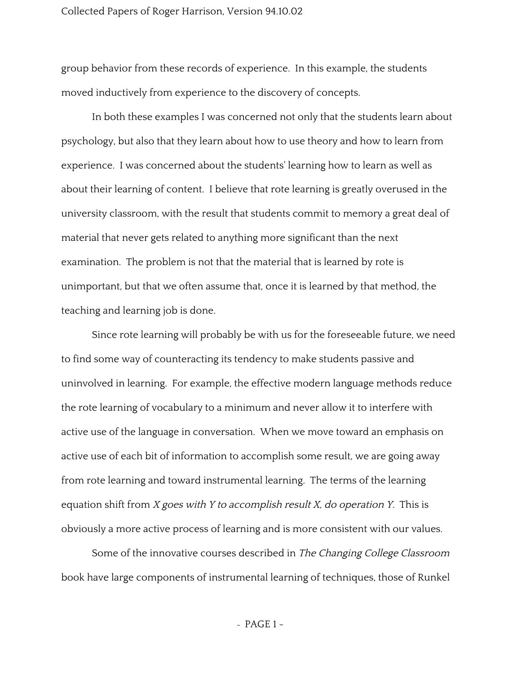group behavior from these records of experience. In this example, the students moved inductively from experience to the discovery of concepts.

In both these examples I was concerned not only that the students learn about psychology, but also that they learn about how to use theory and how to learn from experience. I was concerned about the students' learning how to learn as well as about their learning of content. I believe that rote learning is greatly overused in the university classroom, with the result that students commit to memory a great deal of material that never gets related to anything more significant than the next examination. The problem is not that the material that is learned by rote is unimportant, but that we often assume that, once it is learned by that method, the teaching and learning job is done.

Since rote learning will probably be with us for the foreseeable future, we need to find some way of counteracting its tendency to make students passive and uninvolved in learning. For example, the effective modern language methods reduce the rote learning of vocabulary to a minimum and never allow it to interfere with active use of the language in conversation. When we move toward an emphasis on active use of each bit of information to accomplish some result, we are going away from rote learning and toward instrumental learning. The terms of the learning equation shift from  $X$  goes with  $Y$  to accomplish result  $X$ , do operation  $Y$ . This is obviously a more active process of learning and is more consistent with our values.

Some of the innovative courses described in The Changing College Classroom book have large components of instrumental learning of techniques, those of Runkel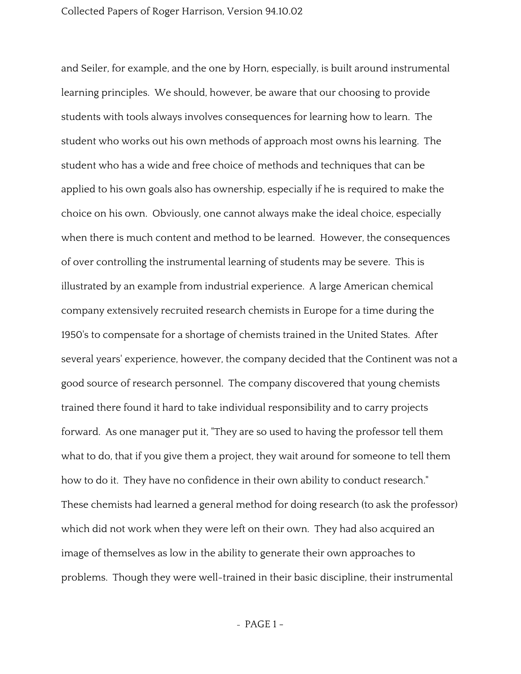and Seiler, for example, and the one by Horn, especially, is built around instrumental learning principles. We should, however, be aware that our choosing to provide students with tools always involves consequences for learning how to learn. The student who works out his own methods of approach most owns his learning. The student who has a wide and free choice of methods and techniques that can be applied to his own goals also has ownership, especially if he is required to make the choice on his own. Obviously, one cannot always make the ideal choice, especially when there is much content and method to be learned. However, the consequences of over controlling the instrumental learning of students may be severe. This is illustrated by an example from industrial experience. A large American chemical company extensively recruited research chemists in Europe for a time during the 1950's to compensate for a shortage of chemists trained in the United States. After several years' experience, however, the company decided that the Continent was not a good source of research personnel. The company discovered that young chemists trained there found it hard to take individual responsibility and to carry projects forward. As one manager put it, "They are so used to having the professor tell them what to do, that if you give them a project, they wait around for someone to tell them how to do it. They have no confidence in their own ability to conduct research." These chemists had learned a general method for doing research (to ask the professor) which did not work when they were left on their own. They had also acquired an image of themselves as low in the ability to generate their own approaches to problems. Though they were well-trained in their basic discipline, their instrumental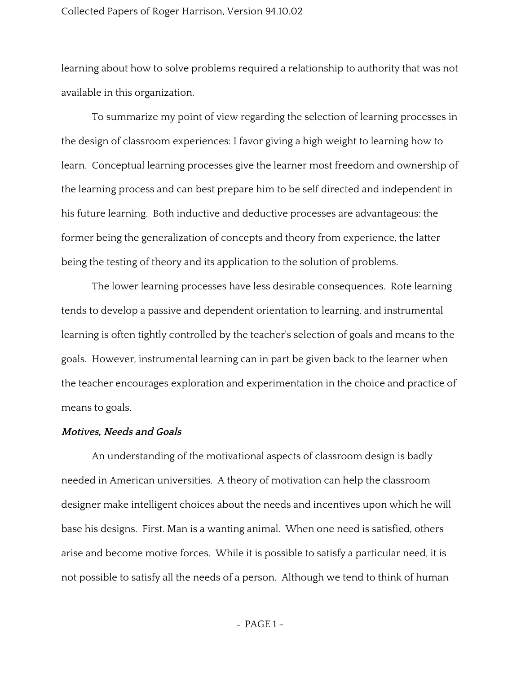learning about how to solve problems required a relationship to authority that was not available in this organization.

To summarize my point of view regarding the selection of learning processes in the design of classroom experiences: I favor giving a high weight to learning how to learn. Conceptual learning processes give the learner most freedom and ownership of the learning process and can best prepare him to be self directed and independent in his future learning. Both inductive and deductive processes are advantageous: the former being the generalization of concepts and theory from experience, the latter being the testing of theory and its application to the solution of problems.

The lower learning processes have less desirable consequences. Rote learning tends to develop a passive and dependent orientation to learning, and instrumental learning is often tightly controlled by the teacher's selection of goals and means to the goals. However, instrumental learning can in part be given back to the learner when the teacher encourages exploration and experimentation in the choice and practice of means to goals.

# **Motives, Needs and Goals**

An understanding of the motivational aspects of classroom design is badly needed in American universities. A theory of motivation can help the classroom designer make intelligent choices about the needs and incentives upon which he will base his designs. First. Man is a wanting animal. When one need is satisfied, others arise and become motive forces. While it is possible to satisfy a particular need, it is not possible to satisfy all the needs of a person. Although we tend to think of human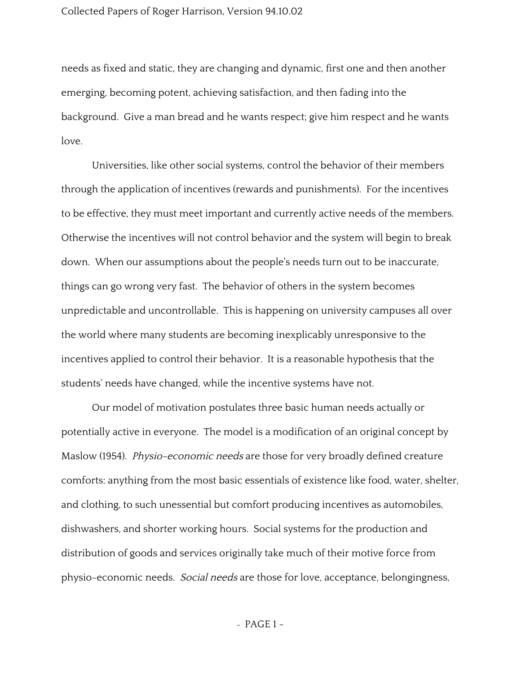needs as fixed and static, they are changing and dynamic, first one and then another emerging, becoming potent, achieving satisfaction, and then fading into the background. Give a man bread and he wants respect; give him respect and he wants love.

Universities, like other social systems, control the behavior of their members through the application of incentives (rewards and punishments). For the incentives to be effective, they must meet important and currently active needs of the members. Otherwise the incentives will not control behavior and the system will begin to break down. When our assumptions about the people's needs turn out to be inaccurate, things can go wrong very fast. The behavior of others in the system becomes unpredictable and uncontrollable. This is happening on university campuses all over the world where many students are becoming inexplicably unresponsive to the incentives applied to control their behavior. It is a reasonable hypothesis that the students' needs have changed, while the incentive systems have not.

Our model of motivation postulates three basic human needs actually or potentially active in everyone. The model is a modification of an original concept by Maslow (1954). Physio-economic needs are those for very broadly defined creature comforts: anything from the most basic essentials of existence like food, water, shelter, and clothing, to such unessential but comfort producing incentives as automobiles, dishwashers, and shorter working hours. Social systems for the production and distribution of goods and services originally take much of their motive force from physio-economic needs. Social needs are those for love, acceptance, belongingness,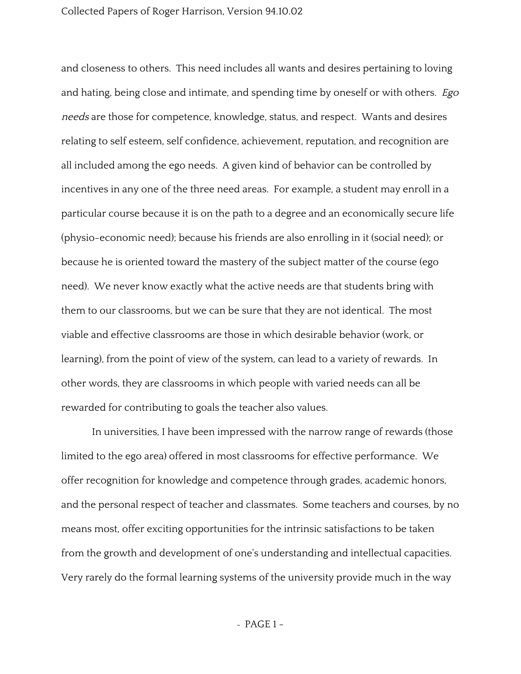and closeness to others. This need includes all wants and desires pertaining to loving and hating, being close and intimate, and spending time by oneself or with others. *Ego* needs are those for competence, knowledge, status, and respect. Wants and desires relating to self esteem, self confidence, achievement, reputation, and recognition are all included among the ego needs. A given kind of behavior can be controlled by incentives in any one of the three need areas. For example, a student may enroll in a particular course because it is on the path to a degree and an economically secure life (physio-economic need); because his friends are also enrolling in it (social need); or because he is oriented toward the mastery of the subject matter of the course (ego need). We never know exactly what the active needs are that students bring with them to our classrooms, but we can be sure that they are not identical. The most viable and effective classrooms are those in which desirable behavior (work, or learning), from the point of view of the system, can lead to a variety of rewards. In other words, they are classrooms in which people with varied needs can all be rewarded for contributing to goals the teacher also values.

In universities, I have been impressed with the narrow range of rewards (those limited to the ego area) offered in most classrooms for effective performance. We offer recognition for knowledge and competence through grades, academic honors, and the personal respect of teacher and classmates. Some teachers and courses, by no means most, offer exciting opportunities for the intrinsic satisfactions to be taken from the growth and development of one's understanding and intellectual capacities. Very rarely do the formal learning systems of the university provide much in the way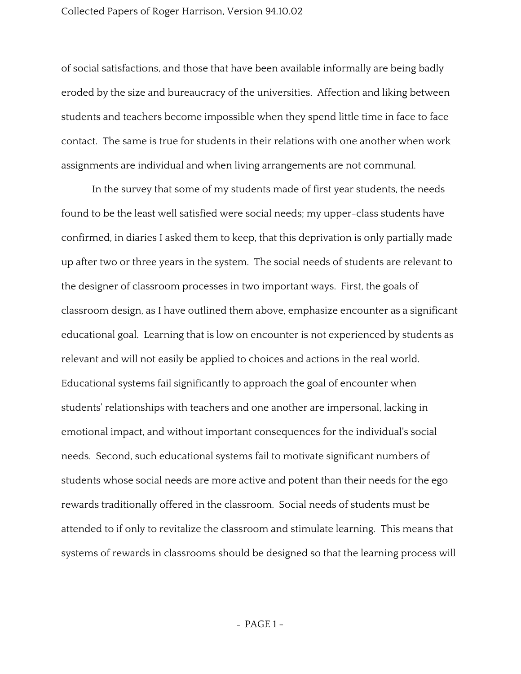of social satisfactions, and those that have been available informally are being badly eroded by the size and bureaucracy of the universities. Affection and liking between students and teachers become impossible when they spend little time in face to face contact. The same is true for students in their relations with one another when work assignments are individual and when living arrangements are not communal.

In the survey that some of my students made of first year students, the needs found to be the least well satisfied were social needs; my upper-class students have confirmed, in diaries I asked them to keep, that this deprivation is only partially made up after two or three years in the system. The social needs of students are relevant to the designer of classroom processes in two important ways. First, the goals of classroom design, as I have outlined them above, emphasize encounter as a significant educational goal. Learning that is low on encounter is not experienced by students as relevant and will not easily be applied to choices and actions in the real world. Educational systems fail significantly to approach the goal of encounter when students' relationships with teachers and one another are impersonal, lacking in emotional impact, and without important consequences for the individual's social needs. Second, such educational systems fail to motivate significant numbers of students whose social needs are more active and potent than their needs for the ego rewards traditionally offered in the classroom. Social needs of students must be attended to if only to revitalize the classroom and stimulate learning. This means that systems of rewards in classrooms should be designed so that the learning process will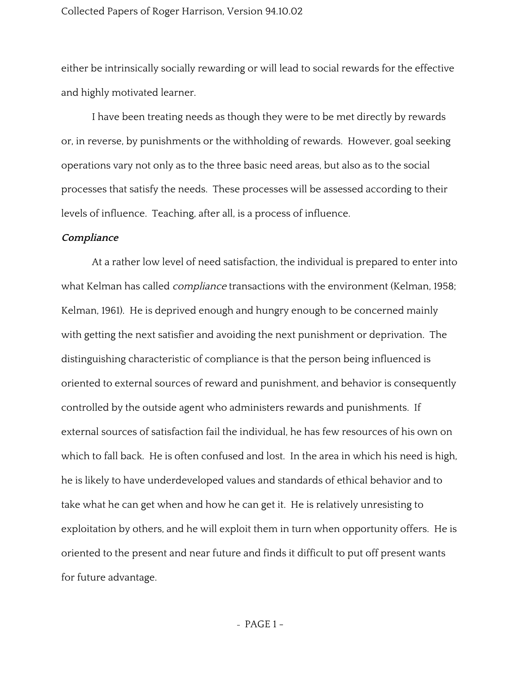either be intrinsically socially rewarding or will lead to social rewards for the effective and highly motivated learner.

I have been treating needs as though they were to be met directly by rewards or, in reverse, by punishments or the withholding of rewards. However, goal seeking operations vary not only as to the three basic need areas, but also as to the social processes that satisfy the needs. These processes will be assessed according to their levels of influence. Teaching, after all, is a process of influence.

# **Compliance**

At a rather low level of need satisfaction, the individual is prepared to enter into what Kelman has called *compliance* transactions with the environment (Kelman, 1958; Kelman, 1961). He is deprived enough and hungry enough to be concerned mainly with getting the next satisfier and avoiding the next punishment or deprivation. The distinguishing characteristic of compliance is that the person being influenced is oriented to external sources of reward and punishment, and behavior is consequently controlled by the outside agent who administers rewards and punishments. If external sources of satisfaction fail the individual, he has few resources of his own on which to fall back. He is often confused and lost. In the area in which his need is high, he is likely to have underdeveloped values and standards of ethical behavior and to take what he can get when and how he can get it. He is relatively unresisting to exploitation by others, and he will exploit them in turn when opportunity offers. He is oriented to the present and near future and finds it difficult to put off present wants for future advantage.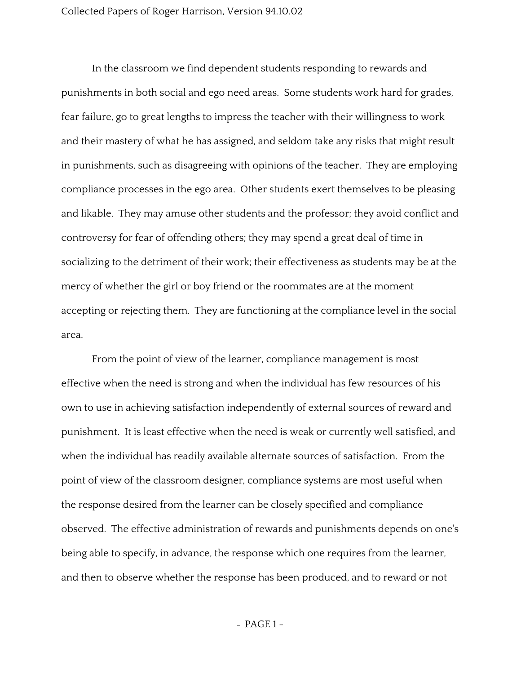In the classroom we find dependent students responding to rewards and punishments in both social and ego need areas. Some students work hard for grades, fear failure, go to great lengths to impress the teacher with their willingness to work and their mastery of what he has assigned, and seldom take any risks that might result in punishments, such as disagreeing with opinions of the teacher. They are employing compliance processes in the ego area. Other students exert themselves to be pleasing and likable. They may amuse other students and the professor; they avoid conflict and controversy for fear of offending others; they may spend a great deal of time in socializing to the detriment of their work; their effectiveness as students may be at the mercy of whether the girl or boy friend or the roommates are at the moment accepting or rejecting them. They are functioning at the compliance level in the social area.

From the point of view of the learner, compliance management is most effective when the need is strong and when the individual has few resources of his own to use in achieving satisfaction independently of external sources of reward and punishment. It is least effective when the need is weak or currently well satisfied, and when the individual has readily available alternate sources of satisfaction. From the point of view of the classroom designer, compliance systems are most useful when the response desired from the learner can be closely specified and compliance observed. The effective administration of rewards and punishments depends on one's being able to specify, in advance, the response which one requires from the learner, and then to observe whether the response has been produced, and to reward or not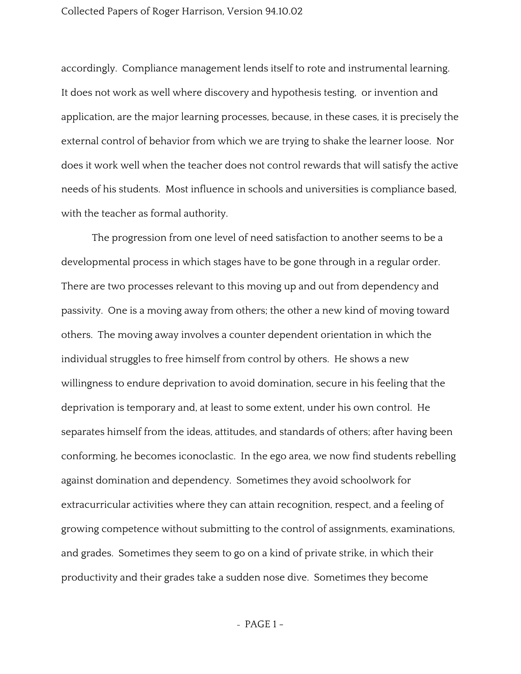accordingly. Compliance management lends itself to rote and instrumental learning. It does not work as well where discovery and hypothesis testing, or invention and application, are the major learning processes, because, in these cases, it is precisely the external control of behavior from which we are trying to shake the learner loose. Nor does it work well when the teacher does not control rewards that will satisfy the active needs of his students. Most influence in schools and universities is compliance based, with the teacher as formal authority.

The progression from one level of need satisfaction to another seems to be a developmental process in which stages have to be gone through in a regular order. There are two processes relevant to this moving up and out from dependency and passivity. One is a moving away from others; the other a new kind of moving toward others. The moving away involves a counter dependent orientation in which the individual struggles to free himself from control by others. He shows a new willingness to endure deprivation to avoid domination, secure in his feeling that the deprivation is temporary and, at least to some extent, under his own control. He separates himself from the ideas, attitudes, and standards of others; after having been conforming, he becomes iconoclastic. In the ego area, we now find students rebelling against domination and dependency. Sometimes they avoid schoolwork for extracurricular activities where they can attain recognition, respect, and a feeling of growing competence without submitting to the control of assignments, examinations, and grades. Sometimes they seem to go on a kind of private strike, in which their productivity and their grades take a sudden nose dive. Sometimes they become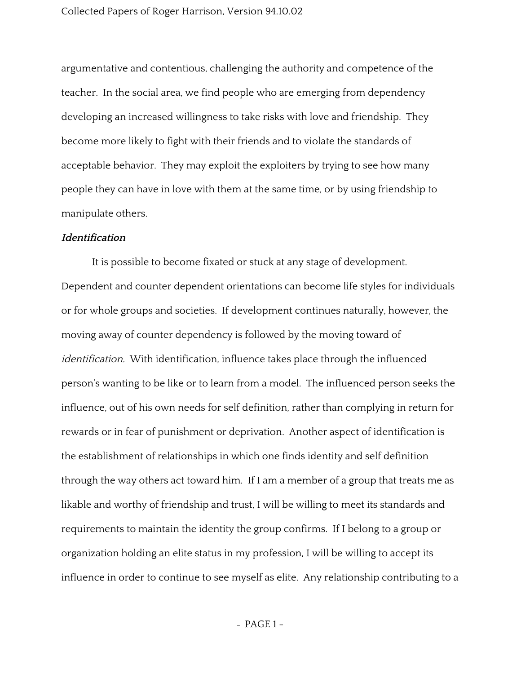argumentative and contentious, challenging the authority and competence of the teacher. In the social area, we find people who are emerging from dependency developing an increased willingness to take risks with love and friendship. They become more likely to fight with their friends and to violate the standards of acceptable behavior. They may exploit the exploiters by trying to see how many people they can have in love with them at the same time, or by using friendship to manipulate others.

# **Identification**

It is possible to become fixated or stuck at any stage of development. Dependent and counter dependent orientations can become life styles for individuals or for whole groups and societies. If development continues naturally, however, the moving away of counter dependency is followed by the moving toward of identification. With identification, influence takes place through the influenced person's wanting to be like or to learn from a model. The influenced person seeks the influence, out of his own needs for self definition, rather than complying in return for rewards or in fear of punishment or deprivation. Another aspect of identification is the establishment of relationships in which one finds identity and self definition through the way others act toward him. If I am a member of a group that treats me as likable and worthy of friendship and trust, I will be willing to meet its standards and requirements to maintain the identity the group confirms. If I belong to a group or organization holding an elite status in my profession, I will be willing to accept its influence in order to continue to see myself as elite. Any relationship contributing to a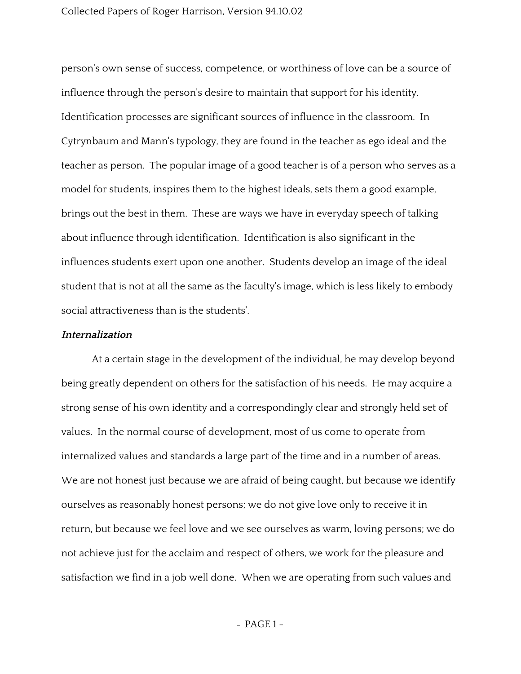person's own sense of success, competence, or worthiness of love can be a source of influence through the person's desire to maintain that support for his identity. Identification processes are significant sources of influence in the classroom. In Cytrynbaum and Mann's typology, they are found in the teacher as ego ideal and the teacher as person. The popular image of a good teacher is of a person who serves as a model for students, inspires them to the highest ideals, sets them a good example, brings out the best in them. These are ways we have in everyday speech of talking about influence through identification. Identification is also significant in the influences students exert upon one another. Students develop an image of the ideal student that is not at all the same as the faculty's image, which is less likely to embody social attractiveness than is the students'.

# **Internalization**

At a certain stage in the development of the individual, he may develop beyond being greatly dependent on others for the satisfaction of his needs. He may acquire a strong sense of his own identity and a correspondingly clear and strongly held set of values. In the normal course of development, most of us come to operate from internalized values and standards a large part of the time and in a number of areas. We are not honest just because we are afraid of being caught, but because we identify ourselves as reasonably honest persons; we do not give love only to receive it in return, but because we feel love and we see ourselves as warm, loving persons; we do not achieve just for the acclaim and respect of others, we work for the pleasure and satisfaction we find in a job well done. When we are operating from such values and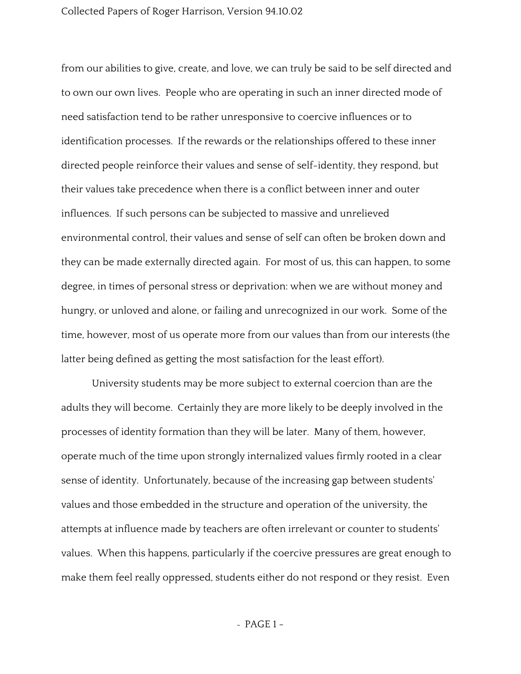from our abilities to give, create, and love, we can truly be said to be self directed and to own our own lives. People who are operating in such an inner directed mode of need satisfaction tend to be rather unresponsive to coercive influences or to identification processes. If the rewards or the relationships offered to these inner directed people reinforce their values and sense of self-identity, they respond, but their values take precedence when there is a conflict between inner and outer influences. If such persons can be subjected to massive and unrelieved environmental control, their values and sense of self can often be broken down and they can be made externally directed again. For most of us, this can happen, to some degree, in times of personal stress or deprivation: when we are without money and hungry, or unloved and alone, or failing and unrecognized in our work. Some of the time, however, most of us operate more from our values than from our interests (the latter being defined as getting the most satisfaction for the least effort).

University students may be more subject to external coercion than are the adults they will become. Certainly they are more likely to be deeply involved in the processes of identity formation than they will be later. Many of them, however, operate much of the time upon strongly internalized values firmly rooted in a clear sense of identity. Unfortunately, because of the increasing gap between students' values and those embedded in the structure and operation of the university, the attempts at influence made by teachers are often irrelevant or counter to students' values. When this happens, particularly if the coercive pressures are great enough to make them feel really oppressed, students either do not respond or they resist. Even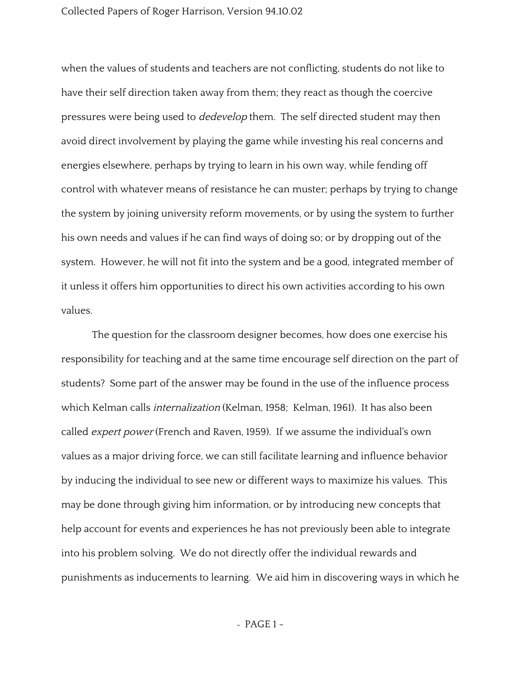when the values of students and teachers are not conflicting, students do not like to have their self direction taken away from them; they react as though the coercive pressures were being used to dedevelop them. The self directed student may then avoid direct involvement by playing the game while investing his real concerns and energies elsewhere, perhaps by trying to learn in his own way, while fending off control with whatever means of resistance he can muster; perhaps by trying to change the system by joining university reform movements, or by using the system to further his own needs and values if he can find ways of doing so; or by dropping out of the system. However, he will not fit into the system and be a good, integrated member of it unless it offers him opportunities to direct his own activities according to his own values.

The question for the classroom designer becomes, how does one exercise his responsibility for teaching and at the same time encourage self direction on the part of students? Some part of the answer may be found in the use of the influence process which Kelman calls internalization (Kelman, 1958; Kelman, 1961). It has also been called expert power (French and Raven, 1959). If we assume the individual's own values as a major driving force, we can still facilitate learning and influence behavior by inducing the individual to see new or different ways to maximize his values. This may be done through giving him information, or by introducing new concepts that help account for events and experiences he has not previously been able to integrate into his problem solving. We do not directly offer the individual rewards and punishments as inducements to learning. We aid him in discovering ways in which he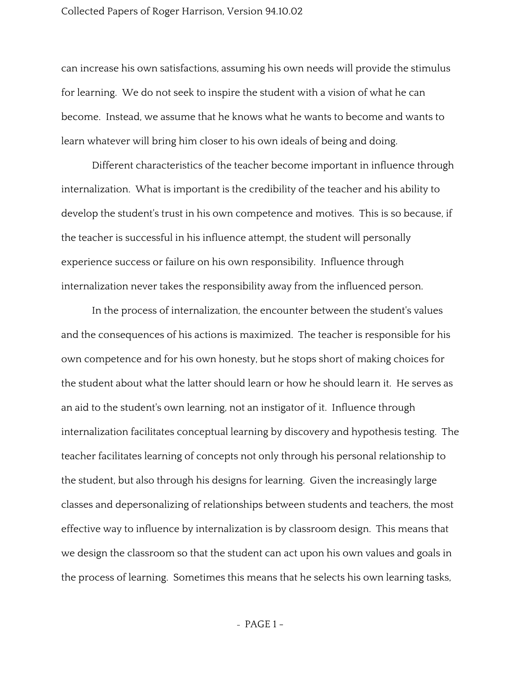can increase his own satisfactions, assuming his own needs will provide the stimulus for learning. We do not seek to inspire the student with a vision of what he can become. Instead, we assume that he knows what he wants to become and wants to learn whatever will bring him closer to his own ideals of being and doing.

Different characteristics of the teacher become important in influence through internalization. What is important is the credibility of the teacher and his ability to develop the student's trust in his own competence and motives. This is so because, if the teacher is successful in his influence attempt, the student will personally experience success or failure on his own responsibility. Influence through internalization never takes the responsibility away from the influenced person.

In the process of internalization, the encounter between the student's values and the consequences of his actions is maximized. The teacher is responsible for his own competence and for his own honesty, but he stops short of making choices for the student about what the latter should learn or how he should learn it. He serves as an aid to the student's own learning, not an instigator of it. Influence through internalization facilitates conceptual learning by discovery and hypothesis testing. The teacher facilitates learning of concepts not only through his personal relationship to the student, but also through his designs for learning. Given the increasingly large classes and depersonalizing of relationships between students and teachers, the most effective way to influence by internalization is by classroom design. This means that we design the classroom so that the student can act upon his own values and goals in the process of learning. Sometimes this means that he selects his own learning tasks,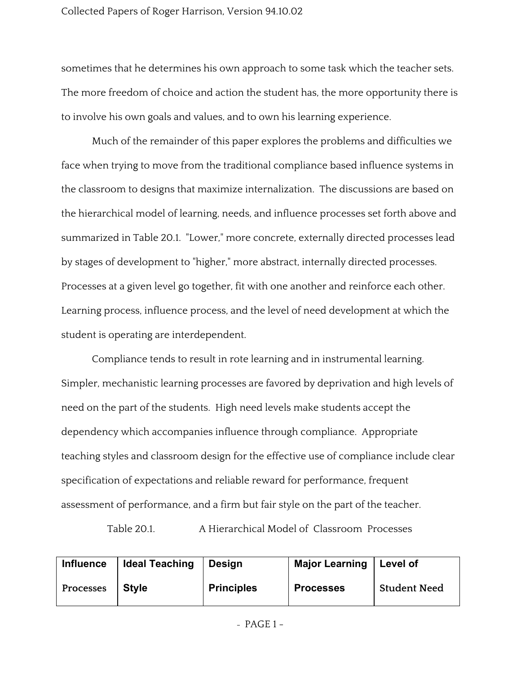sometimes that he determines his own approach to some task which the teacher sets. The more freedom of choice and action the student has, the more opportunity there is to involve his own goals and values, and to own his learning experience.

Much of the remainder of this paper explores the problems and difficulties we face when trying to move from the traditional compliance based influence systems in the classroom to designs that maximize internalization. The discussions are based on the hierarchical model of learning, needs, and influence processes set forth above and summarized in Table 20.1. "Lower," more concrete, externally directed processes lead by stages of development to "higher," more abstract, internally directed processes. Processes at a given level go together, fit with one another and reinforce each other. Learning process, influence process, and the level of need development at which the student is operating are interdependent.

Compliance tends to result in rote learning and in instrumental learning. Simpler, mechanistic learning processes are favored by deprivation and high levels of need on the part of the students. High need levels make students accept the dependency which accompanies influence through compliance. Appropriate teaching styles and classroom design for the effective use of compliance include clear specification of expectations and reliable reward for performance, frequent assessment of performance, and a firm but fair style on the part of the teacher.

Table 20.1. A Hierarchical Model of Classroom Processes

| <b>Influence</b> | <b>Ideal Teaching</b> | <b>Design</b>     | <b>Major Learning</b> | Level of            |
|------------------|-----------------------|-------------------|-----------------------|---------------------|
| Processes        | <b>Style</b>          | <b>Principles</b> | <b>Processes</b>      | <b>Student Need</b> |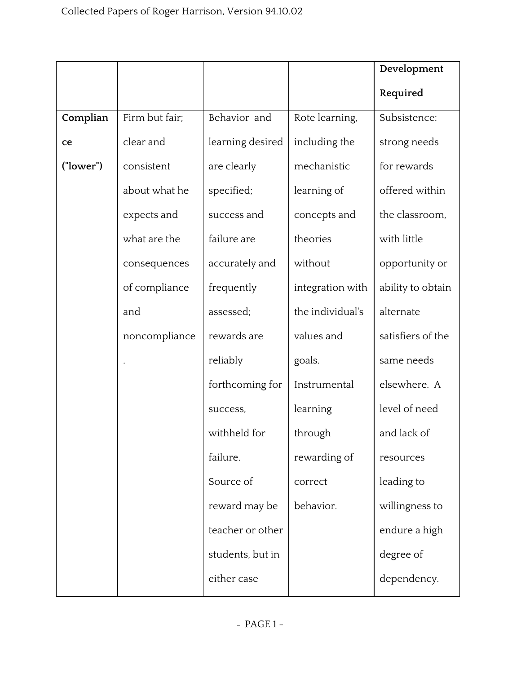|           |                |                  |                  | Development       |
|-----------|----------------|------------------|------------------|-------------------|
|           |                |                  |                  | Required          |
| Complian  | Firm but fair; | Behavior and     | Rote learning,   | Subsistence:      |
| ce        | clear and      | learning desired | including the    | strong needs      |
| ("lower") | consistent     | are clearly      | mechanistic      | for rewards       |
|           | about what he  | specified;       | learning of      | offered within    |
|           | expects and    | success and      | concepts and     | the classroom,    |
|           | what are the   | failure are      | theories         | with little       |
|           | consequences   | accurately and   | without          | opportunity or    |
|           | of compliance  | frequently       | integration with | ability to obtain |
|           | and            | assessed;        | the individual's | alternate         |
|           | noncompliance  | rewards are      | values and       | satisfiers of the |
|           |                | reliably         | goals.           | same needs        |
|           |                | forthcoming for  | Instrumental     | elsewhere. A      |
|           |                | success,         | learning         | level of need     |
|           |                | withheld for     | through          | and lack of       |
|           |                | failure.         | rewarding of     | resources         |
|           |                | Source of        | correct          | leading to        |
|           |                | reward may be    | behavior.        | willingness to    |
|           |                | teacher or other |                  | endure a high     |
|           |                | students, but in |                  | degree of         |
|           |                | either case      |                  | dependency.       |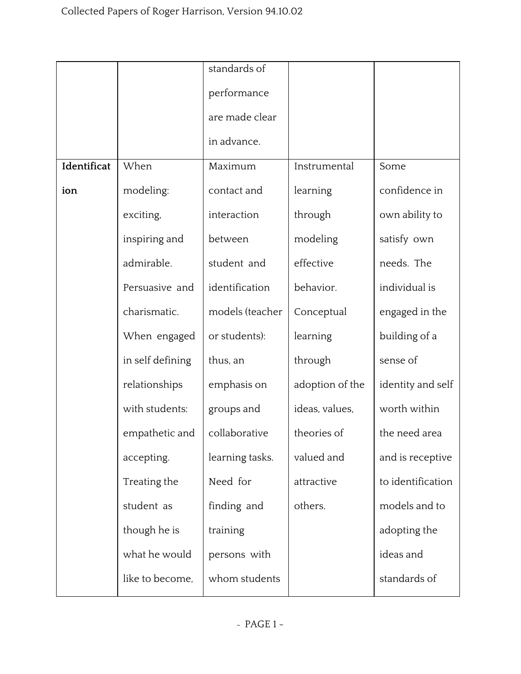|             |                  | standards of    |                 |                   |
|-------------|------------------|-----------------|-----------------|-------------------|
|             |                  | performance     |                 |                   |
|             |                  | are made clear  |                 |                   |
|             |                  | in advance.     |                 |                   |
| Identificat | When             | Maximum         | Instrumental    | Some              |
| ion         | modeling:        | contact and     | learning        | confidence in     |
|             | exciting,        | interaction     | through         | own ability to    |
|             | inspiring and    | between         | modeling        | satisfy own       |
|             | admirable.       | student and     | effective       | needs. The        |
|             | Persuasive and   | identification  | behavior.       | individual is     |
|             | charismatic.     | models (teacher | Conceptual      | engaged in the    |
|             | When engaged     | or students):   | learning        | building of a     |
|             | in self defining | thus, an        | through         | sense of          |
|             | relationships    | emphasis on     | adoption of the | identity and self |
|             | with students:   | groups and      | ideas, values,  | worth within      |
|             | empathetic and   | collaborative   | theories of     | the need area     |
|             | accepting.       | learning tasks. | valued and      | and is receptive  |
|             | Treating the     | Need for        | attractive      | to identification |
|             | student as       | finding and     | others.         | models and to     |
|             | though he is     | training        |                 | adopting the      |
|             | what he would    | persons with    |                 | ideas and         |
|             | like to become,  | whom students   |                 | standards of      |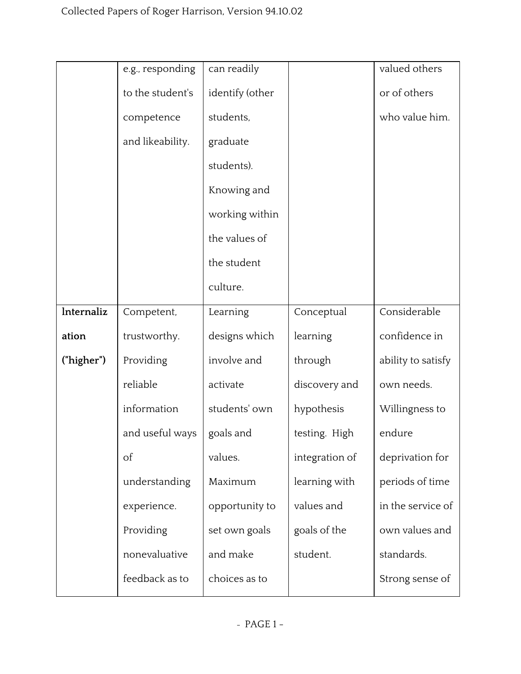|            | e.g., responding | can readily     |                | valued others      |
|------------|------------------|-----------------|----------------|--------------------|
|            | to the student's | identify (other |                | or of others       |
|            | competence       | students,       |                | who value him.     |
|            | and likeability. | graduate        |                |                    |
|            |                  | students).      |                |                    |
|            |                  | Knowing and     |                |                    |
|            |                  | working within  |                |                    |
|            |                  | the values of   |                |                    |
|            |                  | the student     |                |                    |
|            |                  | culture.        |                |                    |
| Internaliz | Competent,       | Learning        | Conceptual     | Considerable       |
| ation      | trustworthy.     | designs which   | learning       | confidence in      |
| ("higher") | Providing        | involve and     | through        | ability to satisfy |
|            | reliable         | activate        | discovery and  | own needs.         |
|            | information      | students' own   | hypothesis     | Willingness to     |
|            | and useful ways  | goals and       | testing. High  | endure             |
|            | of               | values.         | integration of | deprivation for    |
|            | understanding    | Maximum         | learning with  | periods of time    |
|            | experience.      | opportunity to  | values and     | in the service of  |
|            | Providing        | set own goals   | goals of the   | own values and     |
|            | nonevaluative    | and make        | student.       | standards.         |
|            | feedback as to   | choices as to   |                | Strong sense of    |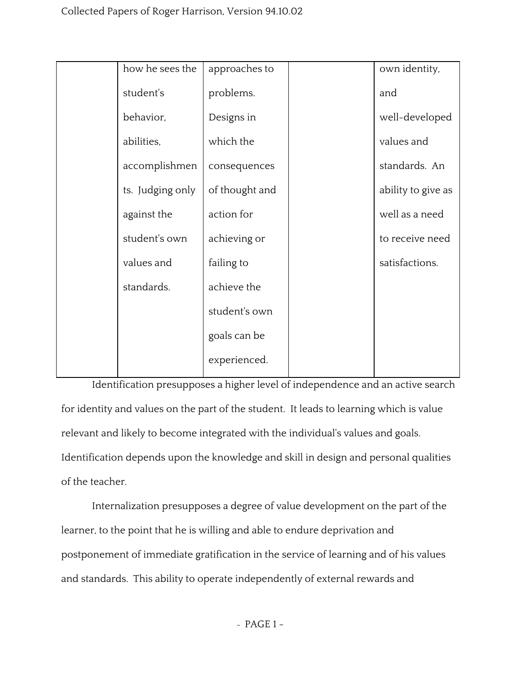| how he sees the  | approaches to  | own identity,      |
|------------------|----------------|--------------------|
| student's        | problems.      | and                |
| behavior,        | Designs in     | well-developed     |
| abilities,       | which the      | values and         |
| accomplishmen    | consequences   | standards. An      |
| ts. Judging only | of thought and | ability to give as |
| against the      | action for     | well as a need     |
| student's own    | achieving or   | to receive need    |
| values and       | failing to     | satisfactions.     |
| standards.       | achieve the    |                    |
|                  | student's own  |                    |
|                  | goals can be   |                    |
|                  | experienced.   |                    |
|                  |                |                    |

Identification presupposes a higher level of independence and an active search for identity and values on the part of the student. It leads to learning which is value relevant and likely to become integrated with the individual's values and goals. Identification depends upon the knowledge and skill in design and personal qualities of the teacher.

Internalization presupposes a degree of value development on the part of the learner, to the point that he is willing and able to endure deprivation and postponement of immediate gratification in the service of learning and of his values and standards. This ability to operate independently of external rewards and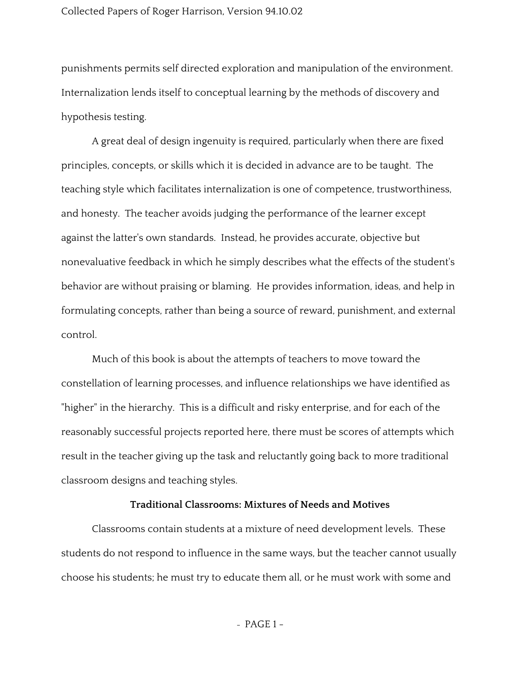punishments permits self directed exploration and manipulation of the environment. Internalization lends itself to conceptual learning by the methods of discovery and hypothesis testing.

A great deal of design ingenuity is required, particularly when there are fixed principles, concepts, or skills which it is decided in advance are to be taught. The teaching style which facilitates internalization is one of competence, trustworthiness, and honesty. The teacher avoids judging the performance of the learner except against the latter's own standards. Instead, he provides accurate, objective but nonevaluative feedback in which he simply describes what the effects of the student's behavior are without praising or blaming. He provides information, ideas, and help in formulating concepts, rather than being a source of reward, punishment, and external control.

Much of this book is about the attempts of teachers to move toward the constellation of learning processes, and influence relationships we have identified as "higher" in the hierarchy. This is a difficult and risky enterprise, and for each of the reasonably successful projects reported here, there must be scores of attempts which result in the teacher giving up the task and reluctantly going back to more traditional classroom designs and teaching styles.

# **Traditional Classrooms: Mixtures of Needs and Motives**

Classrooms contain students at a mixture of need development levels. These students do not respond to influence in the same ways, but the teacher cannot usually choose his students; he must try to educate them all, or he must work with some and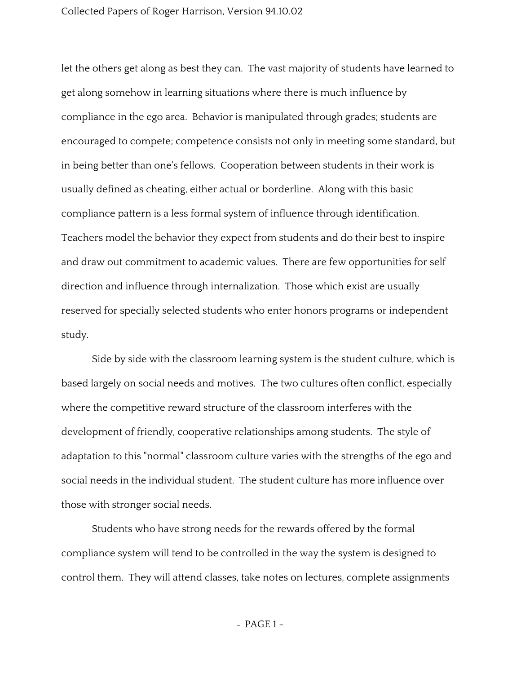let the others get along as best they can. The vast majority of students have learned to get along somehow in learning situations where there is much influence by compliance in the ego area. Behavior is manipulated through grades; students are encouraged to compete; competence consists not only in meeting some standard, but in being better than one's fellows. Cooperation between students in their work is usually defined as cheating, either actual or borderline. Along with this basic compliance pattern is a less formal system of influence through identification. Teachers model the behavior they expect from students and do their best to inspire and draw out commitment to academic values. There are few opportunities for self direction and influence through internalization. Those which exist are usually reserved for specially selected students who enter honors programs or independent study.

Side by side with the classroom learning system is the student culture, which is based largely on social needs and motives. The two cultures often conflict, especially where the competitive reward structure of the classroom interferes with the development of friendly, cooperative relationships among students. The style of adaptation to this "normal" classroom culture varies with the strengths of the ego and social needs in the individual student. The student culture has more influence over those with stronger social needs.

Students who have strong needs for the rewards offered by the formal compliance system will tend to be controlled in the way the system is designed to control them. They will attend classes, take notes on lectures, complete assignments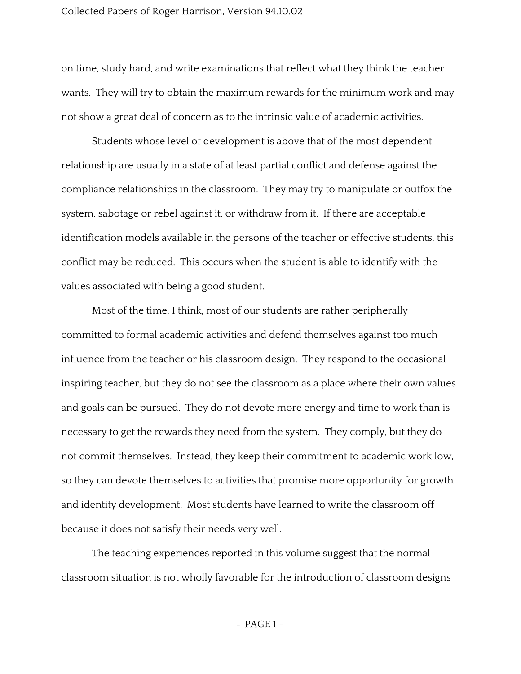on time, study hard, and write examinations that reflect what they think the teacher wants. They will try to obtain the maximum rewards for the minimum work and may not show a great deal of concern as to the intrinsic value of academic activities.

Students whose level of development is above that of the most dependent relationship are usually in a state of at least partial conflict and defense against the compliance relationships in the classroom. They may try to manipulate or outfox the system, sabotage or rebel against it, or withdraw from it. If there are acceptable identification models available in the persons of the teacher or effective students, this conflict may be reduced. This occurs when the student is able to identify with the values associated with being a good student.

Most of the time, I think, most of our students are rather peripherally committed to formal academic activities and defend themselves against too much influence from the teacher or his classroom design. They respond to the occasional inspiring teacher, but they do not see the classroom as a place where their own values and goals can be pursued. They do not devote more energy and time to work than is necessary to get the rewards they need from the system. They comply, but they do not commit themselves. Instead, they keep their commitment to academic work low, so they can devote themselves to activities that promise more opportunity for growth and identity development. Most students have learned to write the classroom off because it does not satisfy their needs very well.

The teaching experiences reported in this volume suggest that the normal classroom situation is not wholly favorable for the introduction of classroom designs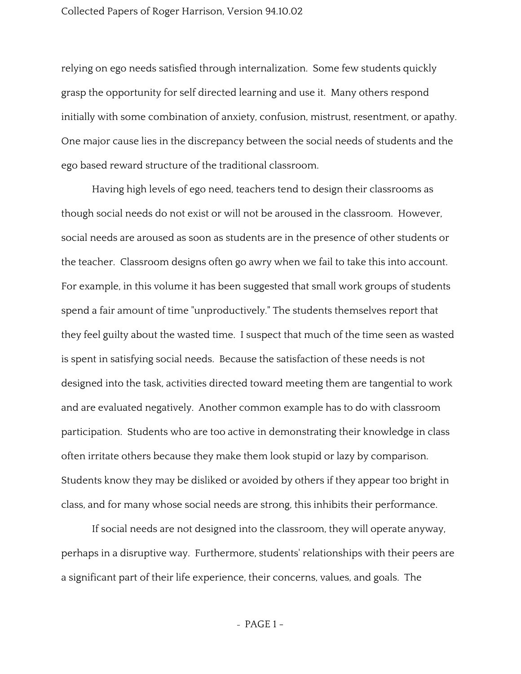relying on ego needs satisfied through internalization. Some few students quickly grasp the opportunity for self directed learning and use it. Many others respond initially with some combination of anxiety, confusion, mistrust, resentment, or apathy. One major cause lies in the discrepancy between the social needs of students and the ego based reward structure of the traditional classroom.

Having high levels of ego need, teachers tend to design their classrooms as though social needs do not exist or will not be aroused in the classroom. However, social needs are aroused as soon as students are in the presence of other students or the teacher. Classroom designs often go awry when we fail to take this into account. For example, in this volume it has been suggested that small work groups of students spend a fair amount of time "unproductively." The students themselves report that they feel guilty about the wasted time. I suspect that much of the time seen as wasted is spent in satisfying social needs. Because the satisfaction of these needs is not designed into the task, activities directed toward meeting them are tangential to work and are evaluated negatively. Another common example has to do with classroom participation. Students who are too active in demonstrating their knowledge in class often irritate others because they make them look stupid or lazy by comparison. Students know they may be disliked or avoided by others if they appear too bright in class, and for many whose social needs are strong, this inhibits their performance.

If social needs are not designed into the classroom, they will operate anyway, perhaps in a disruptive way. Furthermore, students' relationships with their peers are a significant part of their life experience, their concerns, values, and goals. The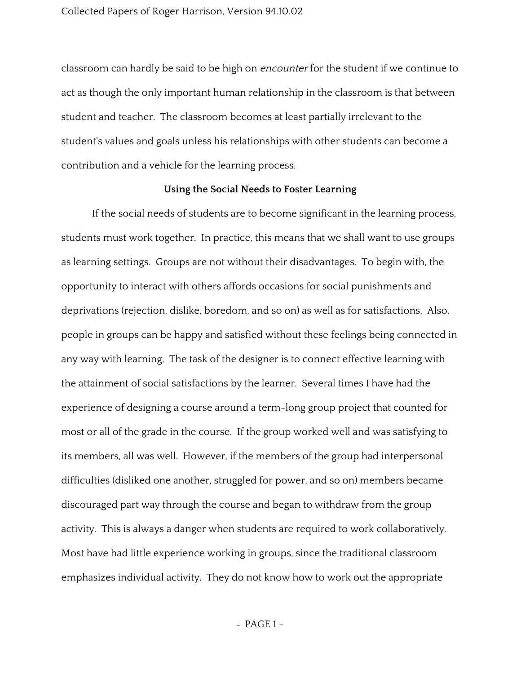classroom can hardly be said to be high on encounter for the student if we continue to act as though the only important human relationship in the classroom is that between student and teacher. The classroom becomes at least partially irrelevant to the student's values and goals unless his relationships with other students can become a contribution and a vehicle for the learning process.

# **Using the Social Needs to Foster Learning**

If the social needs of students are to become significant in the learning process, students must work together. In practice, this means that we shall want to use groups as learning settings. Groups are not without their disadvantages. To begin with, the opportunity to interact with others affords occasions for social punishments and deprivations (rejection, dislike, boredom, and so on) as well as for satisfactions. Also, people in groups can be happy and satisfied without these feelings being connected in any way with learning. The task of the designer is to connect effective learning with the attainment of social satisfactions by the learner. Several times I have had the experience of designing a course around a term-long group project that counted for most or all of the grade in the course. If the group worked well and was satisfying to its members, all was well. However, if the members of the group had interpersonal difficulties (disliked one another, struggled for power, and so on) members became discouraged part way through the course and began to withdraw from the group activity. This is always a danger when students are required to work collaboratively. Most have had little experience working in groups, since the traditional classroom emphasizes individual activity. They do not know how to work out the appropriate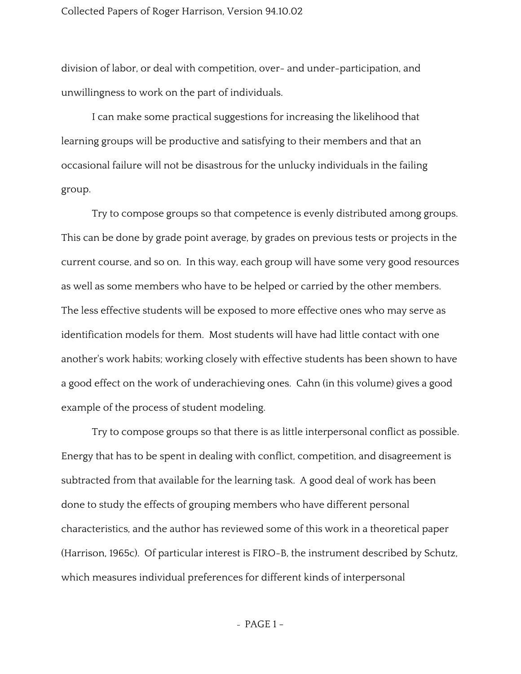division of labor, or deal with competition, over- and under-participation, and unwillingness to work on the part of individuals.

I can make some practical suggestions for increasing the likelihood that learning groups will be productive and satisfying to their members and that an occasional failure will not be disastrous for the unlucky individuals in the failing group.

Try to compose groups so that competence is evenly distributed among groups. This can be done by grade point average, by grades on previous tests or projects in the current course, and so on. In this way, each group will have some very good resources as well as some members who have to be helped or carried by the other members. The less effective students will be exposed to more effective ones who may serve as identification models for them. Most students will have had little contact with one another's work habits; working closely with effective students has been shown to have a good effect on the work of underachieving ones. Cahn (in this volume) gives a good example of the process of student modeling.

Try to compose groups so that there is as little interpersonal conflict as possible. Energy that has to be spent in dealing with conflict, competition, and disagreement is subtracted from that available for the learning task. A good deal of work has been done to study the effects of grouping members who have different personal characteristics, and the author has reviewed some of this work in a theoretical paper (Harrison, 1965c). Of particular interest is FIRO-B, the instrument described by Schutz, which measures individual preferences for different kinds of interpersonal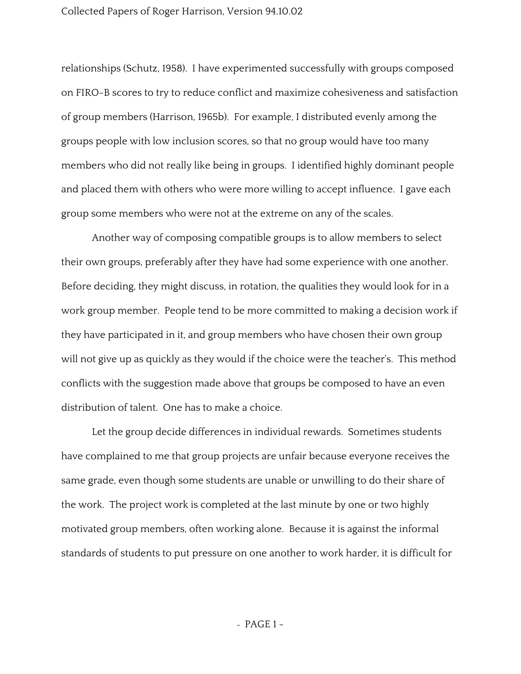relationships (Schutz, 1958). I have experimented successfully with groups composed on FIRO-B scores to try to reduce conflict and maximize cohesiveness and satisfaction of group members (Harrison, 1965b). For example, I distributed evenly among the groups people with low inclusion scores, so that no group would have too many members who did not really like being in groups. I identified highly dominant people and placed them with others who were more willing to accept influence. I gave each group some members who were not at the extreme on any of the scales.

Another way of composing compatible groups is to allow members to select their own groups, preferably after they have had some experience with one another. Before deciding, they might discuss, in rotation, the qualities they would look for in a work group member. People tend to be more committed to making a decision work if they have participated in it, and group members who have chosen their own group will not give up as quickly as they would if the choice were the teacher's. This method conflicts with the suggestion made above that groups be composed to have an even distribution of talent. One has to make a choice.

Let the group decide differences in individual rewards. Sometimes students have complained to me that group projects are unfair because everyone receives the same grade, even though some students are unable or unwilling to do their share of the work. The project work is completed at the last minute by one or two highly motivated group members, often working alone. Because it is against the informal standards of students to put pressure on one another to work harder, it is difficult for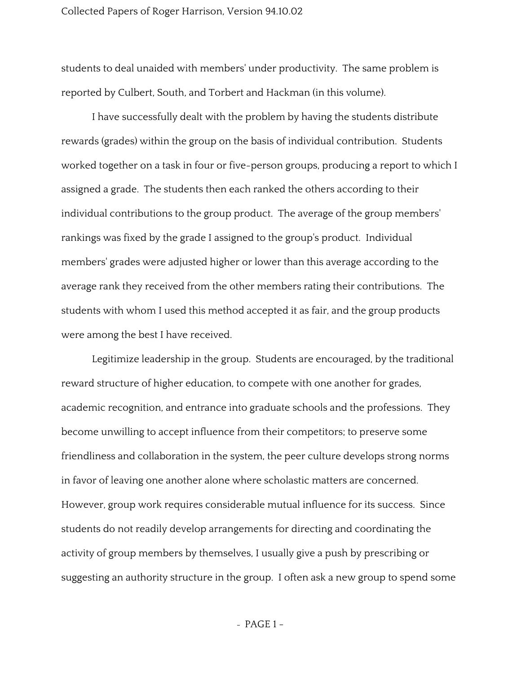students to deal unaided with members' under productivity. The same problem is reported by Culbert, South, and Torbert and Hackman (in this volume).

I have successfully dealt with the problem by having the students distribute rewards (grades) within the group on the basis of individual contribution. Students worked together on a task in four or five-person groups, producing a report to which I assigned a grade. The students then each ranked the others according to their individual contributions to the group product. The average of the group members' rankings was fixed by the grade I assigned to the group's product. Individual members' grades were adjusted higher or lower than this average according to the average rank they received from the other members rating their contributions. The students with whom I used this method accepted it as fair, and the group products were among the best I have received.

Legitimize leadership in the group. Students are encouraged, by the traditional reward structure of higher education, to compete with one another for grades, academic recognition, and entrance into graduate schools and the professions. They become unwilling to accept influence from their competitors; to preserve some friendliness and collaboration in the system, the peer culture develops strong norms in favor of leaving one another alone where scholastic matters are concerned. However, group work requires considerable mutual influence for its success. Since students do not readily develop arrangements for directing and coordinating the activity of group members by themselves, I usually give a push by prescribing or suggesting an authority structure in the group. I often ask a new group to spend some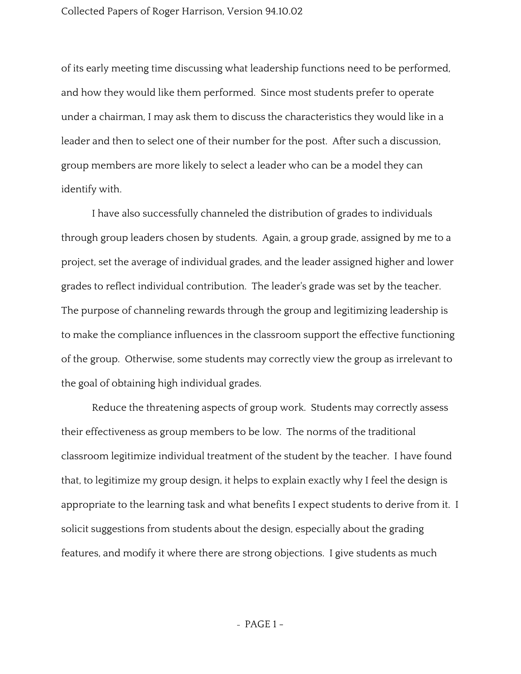of its early meeting time discussing what leadership functions need to be performed, and how they would like them performed. Since most students prefer to operate under a chairman, I may ask them to discuss the characteristics they would like in a leader and then to select one of their number for the post. After such a discussion, group members are more likely to select a leader who can be a model they can identify with.

I have also successfully channeled the distribution of grades to individuals through group leaders chosen by students. Again, a group grade, assigned by me to a project, set the average of individual grades, and the leader assigned higher and lower grades to reflect individual contribution. The leader's grade was set by the teacher. The purpose of channeling rewards through the group and legitimizing leadership is to make the compliance influences in the classroom support the effective functioning of the group. Otherwise, some students may correctly view the group as irrelevant to the goal of obtaining high individual grades.

Reduce the threatening aspects of group work. Students may correctly assess their effectiveness as group members to be low. The norms of the traditional classroom legitimize individual treatment of the student by the teacher. I have found that, to legitimize my group design, it helps to explain exactly why I feel the design is appropriate to the learning task and what benefits I expect students to derive from it. I solicit suggestions from students about the design, especially about the grading features, and modify it where there are strong objections. I give students as much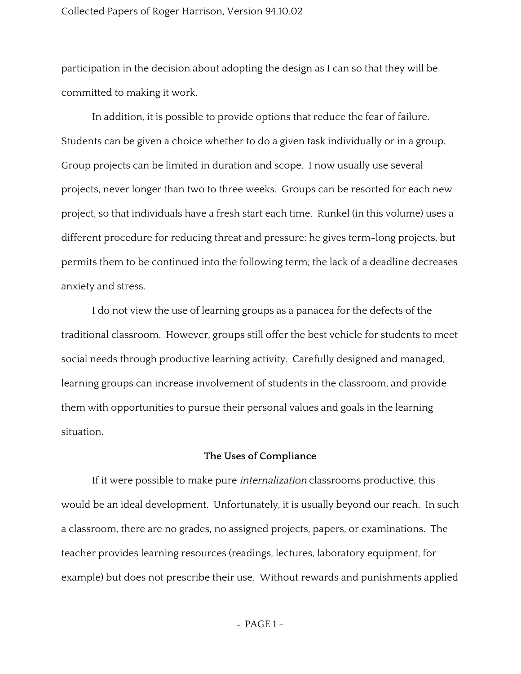participation in the decision about adopting the design as I can so that they will be committed to making it work.

In addition, it is possible to provide options that reduce the fear of failure. Students can be given a choice whether to do a given task individually or in a group. Group projects can be limited in duration and scope. I now usually use several projects, never longer than two to three weeks. Groups can be resorted for each new project, so that individuals have a fresh start each time. Runkel (in this volume) uses a different procedure for reducing threat and pressure: he gives term-long projects, but permits them to be continued into the following term; the lack of a deadline decreases anxiety and stress.

I do not view the use of learning groups as a panacea for the defects of the traditional classroom. However, groups still offer the best vehicle for students to meet social needs through productive learning activity. Carefully designed and managed, learning groups can increase involvement of students in the classroom, and provide them with opportunities to pursue their personal values and goals in the learning situation.

#### **The Uses of Compliance**

If it were possible to make pure *internalization* classrooms productive, this would be an ideal development. Unfortunately, it is usually beyond our reach. In such a classroom, there are no grades, no assigned projects, papers, or examinations. The teacher provides learning resources (readings, lectures, laboratory equipment, for example) but does not prescribe their use. Without rewards and punishments applied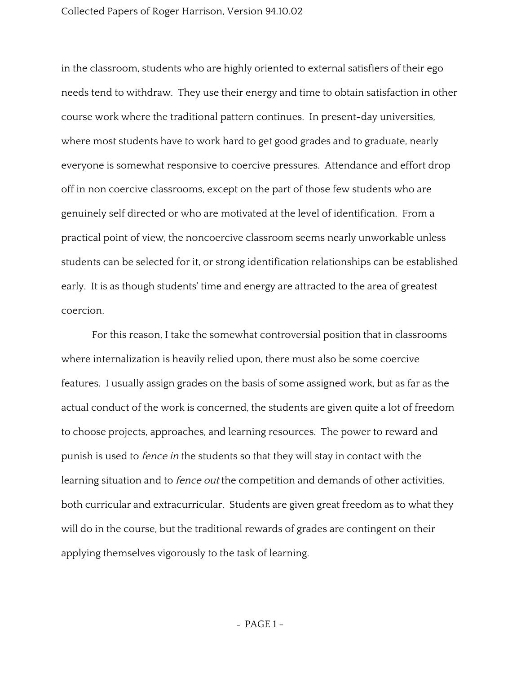in the classroom, students who are highly oriented to external satisfiers of their ego needs tend to withdraw. They use their energy and time to obtain satisfaction in other course work where the traditional pattern continues. In present-day universities, where most students have to work hard to get good grades and to graduate, nearly everyone is somewhat responsive to coercive pressures. Attendance and effort drop off in non coercive classrooms, except on the part of those few students who are genuinely self directed or who are motivated at the level of identification. From a practical point of view, the noncoercive classroom seems nearly unworkable unless students can be selected for it, or strong identification relationships can be established early. It is as though students' time and energy are attracted to the area of greatest coercion.

For this reason, I take the somewhat controversial position that in classrooms where internalization is heavily relied upon, there must also be some coercive features. I usually assign grades on the basis of some assigned work, but as far as the actual conduct of the work is concerned, the students are given quite a lot of freedom to choose projects, approaches, and learning resources. The power to reward and punish is used to fence in the students so that they will stay in contact with the learning situation and to *fence out* the competition and demands of other activities, both curricular and extracurricular. Students are given great freedom as to what they will do in the course, but the traditional rewards of grades are contingent on their applying themselves vigorously to the task of learning.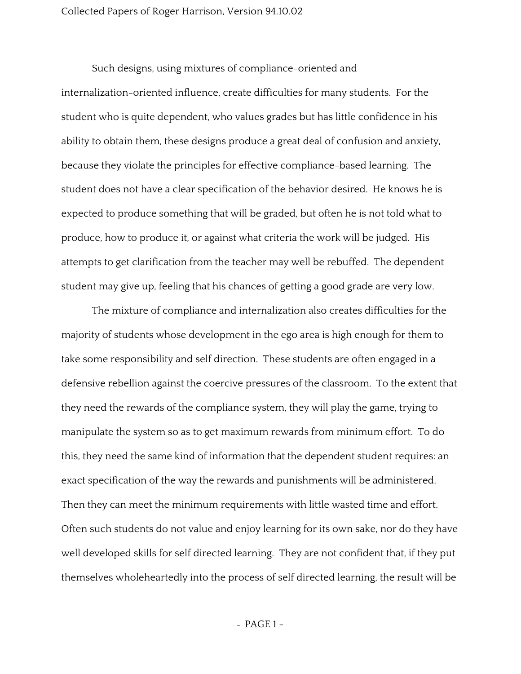Such designs, using mixtures of compliance-oriented and internalization-oriented influence, create difficulties for many students. For the student who is quite dependent, who values grades but has little confidence in his ability to obtain them, these designs produce a great deal of confusion and anxiety, because they violate the principles for effective compliance-based learning. The student does not have a clear specification of the behavior desired. He knows he is expected to produce something that will be graded, but often he is not told what to produce, how to produce it, or against what criteria the work will be judged. His attempts to get clarification from the teacher may well be rebuffed. The dependent student may give up, feeling that his chances of getting a good grade are very low.

The mixture of compliance and internalization also creates difficulties for the majority of students whose development in the ego area is high enough for them to take some responsibility and self direction. These students are often engaged in a defensive rebellion against the coercive pressures of the classroom. To the extent that they need the rewards of the compliance system, they will play the game, trying to manipulate the system so as to get maximum rewards from minimum effort. To do this, they need the same kind of information that the dependent student requires: an exact specification of the way the rewards and punishments will be administered. Then they can meet the minimum requirements with little wasted time and effort. Often such students do not value and enjoy learning for its own sake, nor do they have well developed skills for self directed learning. They are not confident that, if they put themselves wholeheartedly into the process of self directed learning, the result will be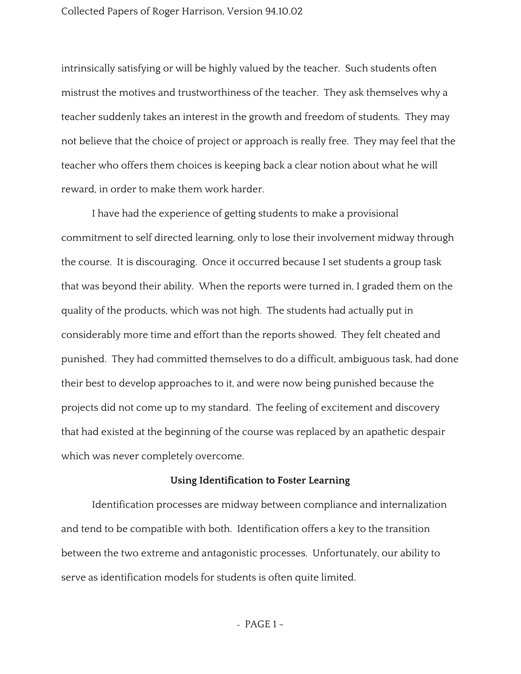intrinsically satisfying or will be highly valued by the teacher. Such students often mistrust the motives and trustworthiness of the teacher. They ask themselves why a teacher suddenly takes an interest in the growth and freedom of students. They may not believe that the choice of project or approach is really free. They may feel that the teacher who offers them choices is keeping back a clear notion about what he will reward, in order to make them work harder.

I have had the experience of getting students to make a provisional commitment to self directed learning, only to lose their involvement midway through the course. It is discouraging. Once it occurred because I set students a group task that was beyond their ability. When the reports were turned in, I graded them on the quality of the products, which was not high. The students had actually put in considerably more time and effort than the reports showed. They felt cheated and punished. They had committed themselves to do a difficult, ambiguous task, had done their best to develop approaches to it, and were now being punished because the projects did not come up to my standard. The feeling of excitement and discovery that had existed at the beginning of the course was replaced by an apathetic despair which was never completely overcome.

#### **Using Identification to Foster Learning**

Identification processes are midway between compliance and internalization and tend to be compatibIe with both. Identification offers a key to the transition between the two extreme and antagonistic processes. Unfortunately, our ability to serve as identification models for students is often quite limited.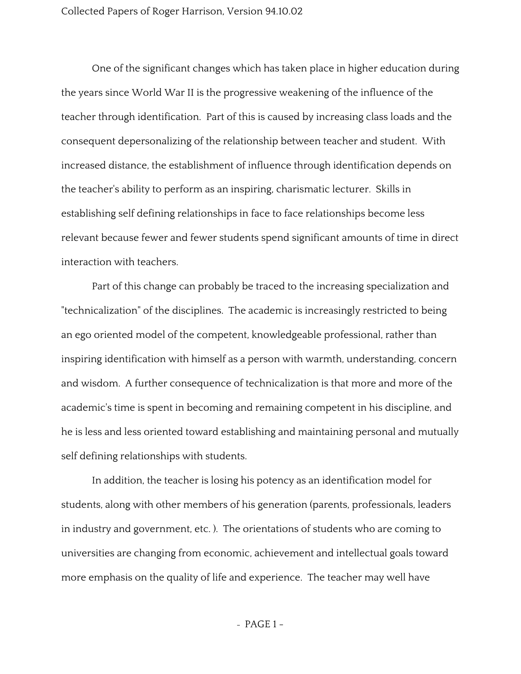One of the significant changes which has taken place in higher education during the years since World War II is the progressive weakening of the influence of the teacher through identification. Part of this is caused by increasing class loads and the consequent depersonalizing of the relationship between teacher and student. With increased distance, the establishment of influence through identification depends on the teacher's ability to perform as an inspiring, charismatic lecturer. Skills in establishing self defining relationships in face to face relationships become less relevant because fewer and fewer students spend significant amounts of time in direct interaction with teachers.

Part of this change can probably be traced to the increasing specialization and "technicalization" of the disciplines. The academic is increasingly restricted to being an ego oriented model of the competent, knowledgeable professional, rather than inspiring identification with himself as a person with warmth, understanding, concern and wisdom. A further consequence of technicalization is that more and more of the academic's time is spent in becoming and remaining competent in his discipline, and he is less and less oriented toward establishing and maintaining personal and mutually self defining relationships with students.

In addition, the teacher is losing his potency as an identification model for students, along with other members of his generation (parents, professionals, leaders in industry and government, etc. ). The orientations of students who are coming to universities are changing from economic, achievement and intellectual goals toward more emphasis on the quality of life and experience. The teacher may well have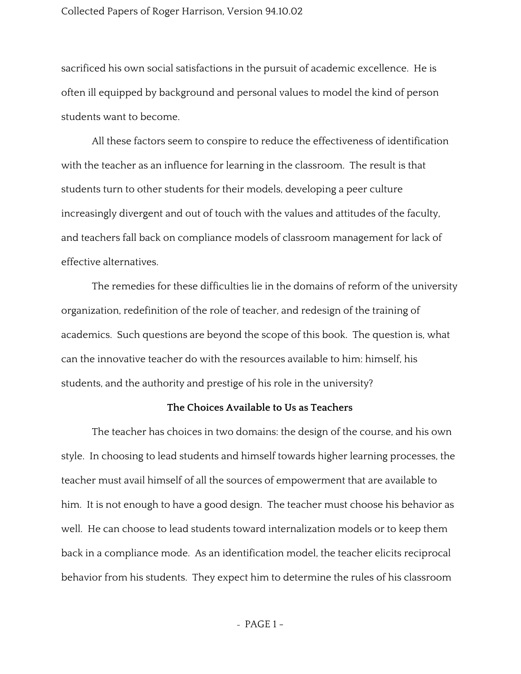sacrificed his own social satisfactions in the pursuit of academic excellence. He is often ill equipped by background and personal values to model the kind of person students want to become.

All these factors seem to conspire to reduce the effectiveness of identification with the teacher as an influence for learning in the classroom. The result is that students turn to other students for their models, developing a peer culture increasingly divergent and out of touch with the values and attitudes of the faculty, and teachers fall back on compliance models of classroom management for lack of effective alternatives.

The remedies for these difficulties lie in the domains of reform of the university organization, redefinition of the role of teacher, and redesign of the training of academics. Such questions are beyond the scope of this book. The question is, what can the innovative teacher do with the resources available to him: himself, his students, and the authority and prestige of his role in the university?

# **The Choices Available to Us as Teachers**

The teacher has choices in two domains: the design of the course, and his own style. In choosing to lead students and himself towards higher learning processes, the teacher must avail himself of all the sources of empowerment that are available to him. It is not enough to have a good design. The teacher must choose his behavior as well. He can choose to lead students toward internalization models or to keep them back in a compliance mode. As an identification model, the teacher elicits reciprocal behavior from his students. They expect him to determine the rules of his classroom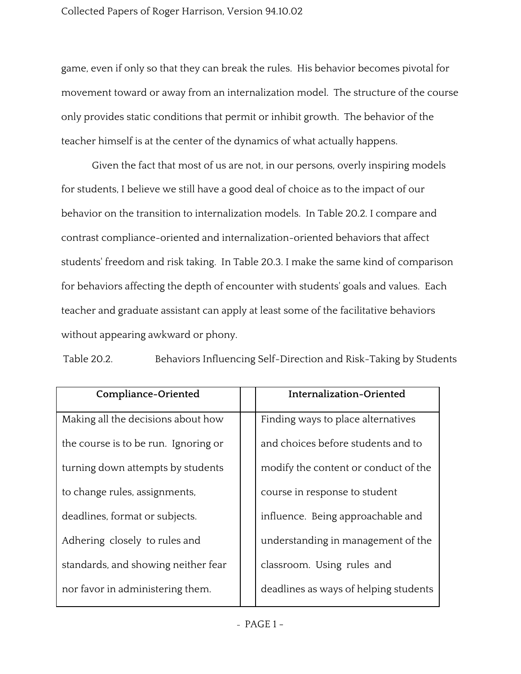game, even if only so that they can break the rules. His behavior becomes pivotal for movement toward or away from an internalization model. The structure of the course only provides static conditions that permit or inhibit growth. The behavior of the teacher himself is at the center of the dynamics of what actually happens.

Given the fact that most of us are not, in our persons, overly inspiring models for students, I believe we still have a good deal of choice as to the impact of our behavior on the transition to internalization models. In Table 20.2. I compare and contrast compliance-oriented and internalization-oriented behaviors that affect students' freedom and risk taking. In Table 20.3. I make the same kind of comparison for behaviors affecting the depth of encounter with students' goals and values. Each teacher and graduate assistant can apply at least some of the facilitative behaviors without appearing awkward or phony.

Table 20.2. Behaviors Influencing Self-Direction and Risk-Taking by Students

| Compliance-Oriented                  | Internalization-Oriented              |
|--------------------------------------|---------------------------------------|
| Making all the decisions about how   | Finding ways to place alternatives    |
| the course is to be run. Ignoring or | and choices before students and to    |
| turning down attempts by students    | modify the content or conduct of the  |
| to change rules, assignments,        | course in response to student         |
| deadlines, format or subjects.       | influence. Being approachable and     |
| Adhering closely to rules and        | understanding in management of the    |
| standards, and showing neither fear  | classroom. Using rules and            |
| nor favor in administering them.     | deadlines as ways of helping students |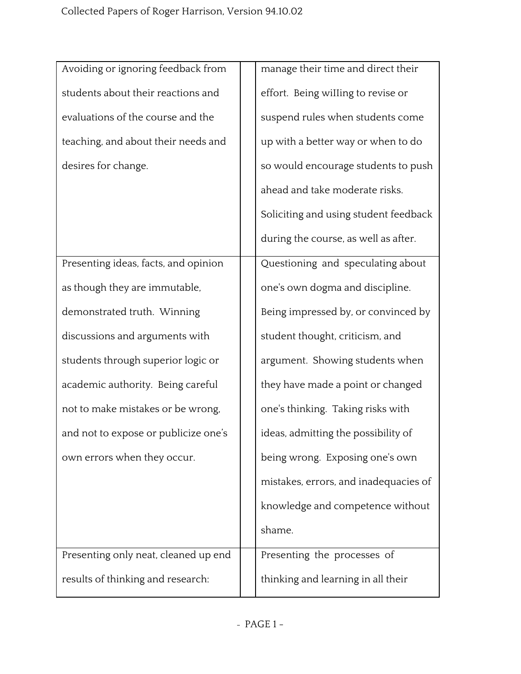| Avoiding or ignoring feedback from   | manage their time and direct their    |
|--------------------------------------|---------------------------------------|
| students about their reactions and   | effort. Being willing to revise or    |
| evaluations of the course and the    | suspend rules when students come      |
| teaching, and about their needs and  | up with a better way or when to do    |
| desires for change.                  | so would encourage students to push   |
|                                      | ahead and take moderate risks.        |
|                                      | Soliciting and using student feedback |
|                                      | during the course, as well as after.  |
| Presenting ideas, facts, and opinion | Questioning and speculating about     |
| as though they are immutable,        | one's own dogma and discipline.       |
| demonstrated truth. Winning          | Being impressed by, or convinced by   |
| discussions and arguments with       | student thought, criticism, and       |
| students through superior logic or   | argument. Showing students when       |
| academic authority. Being careful    | they have made a point or changed     |
| not to make mistakes or be wrong,    | one's thinking. Taking risks with     |
| and not to expose or publicize one's | ideas, admitting the possibility of   |
| own errors when they occur.          | being wrong. Exposing one's own       |
|                                      | mistakes, errors, and inadequacies of |
|                                      | knowledge and competence without      |
|                                      | shame.                                |
| Presenting only neat, cleaned up end | Presenting the processes of           |
| results of thinking and research:    | thinking and learning in all their    |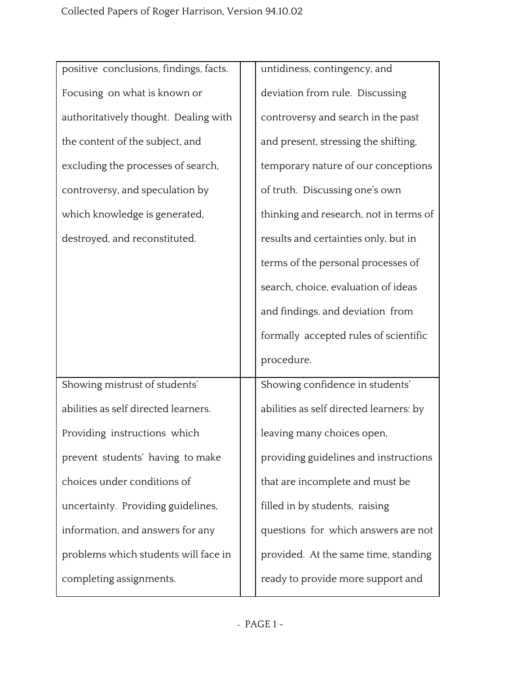| positive conclusions, findings, facts. | untidiness, contingency, and            |
|----------------------------------------|-----------------------------------------|
| Focusing on what is known or           | deviation from rule. Discussing         |
| authoritatively thought. Dealing with  | controversy and search in the past      |
| the content of the subject, and        | and present, stressing the shifting,    |
| excluding the processes of search,     | temporary nature of our conceptions     |
| controversy, and speculation by        | of truth. Discussing one's own          |
| which knowledge is generated,          | thinking and research, not in terms of  |
| destroyed, and reconstituted.          | results and certainties only, but in    |
|                                        | terms of the personal processes of      |
|                                        | search, choice, evaluation of ideas     |
|                                        | and findings, and deviation from        |
|                                        |                                         |
|                                        | formally accepted rules of scientific   |
|                                        | procedure.                              |
| Showing mistrust of students'          | Showing confidence in students'         |
| abilities as self directed learners.   | abilities as self directed learners: by |
| Providing instructions which           | leaving many choices open,              |
| prevent students' having to make       | providing guidelines and instructions   |
| choices under conditions of            | that are incomplete and must be         |
| uncertainty. Providing guidelines,     | filled in by students, raising          |
| information, and answers for any       | questions for which answers are not     |
| problems which students will face in   | provided. At the same time, standing    |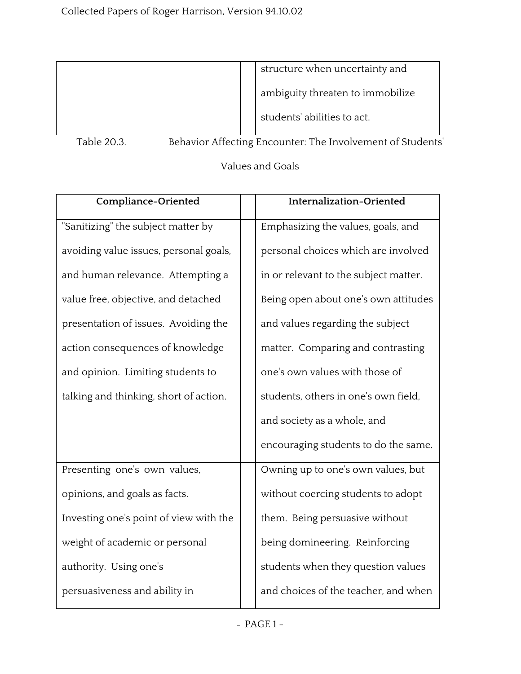| structure when uncertainty and   |
|----------------------------------|
| ambiguity threaten to immobilize |
| students' abilities to act.      |

Table 20.3. Behavior Affecting Encounter: The Involvement of Students'

# Values and Goals

| Compliance-Oriented                    | Internalization-Oriented              |
|----------------------------------------|---------------------------------------|
| "Sanitizing" the subject matter by     | Emphasizing the values, goals, and    |
| avoiding value issues, personal goals, | personal choices which are involved   |
| and human relevance. Attempting a      | in or relevant to the subject matter. |
| value free, objective, and detached    | Being open about one's own attitudes  |
| presentation of issues. Avoiding the   | and values regarding the subject      |
| action consequences of knowledge       | matter. Comparing and contrasting     |
| and opinion. Limiting students to      | one's own values with those of        |
| talking and thinking, short of action. | students, others in one's own field,  |
|                                        | and society as a whole, and           |
|                                        | encouraging students to do the same.  |
| Presenting one's own values,           | Owning up to one's own values, but    |
| opinions, and goals as facts.          | without coercing students to adopt    |
| Investing one's point of view with the | them. Being persuasive without        |
| weight of academic or personal         | being domineering. Reinforcing        |
| authority. Using one's                 | students when they question values    |
| persuasiveness and ability in          | and choices of the teacher, and when  |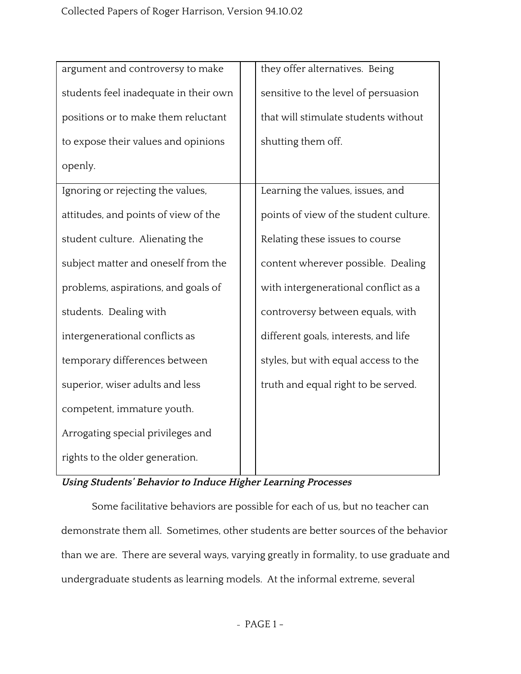| argument and controversy to make      | they offer alternatives. Being         |
|---------------------------------------|----------------------------------------|
| students feel inadequate in their own | sensitive to the level of persuasion   |
| positions or to make them reluctant   | that will stimulate students without   |
| to expose their values and opinions   | shutting them off.                     |
| openly.                               |                                        |
| Ignoring or rejecting the values,     | Learning the values, issues, and       |
| attitudes, and points of view of the  | points of view of the student culture. |
| student culture. Alienating the       | Relating these issues to course        |
| subject matter and oneself from the   | content wherever possible. Dealing     |
| problems, aspirations, and goals of   | with intergenerational conflict as a   |
| students. Dealing with                | controversy between equals, with       |
| intergenerational conflicts as        | different goals, interests, and life   |
| temporary differences between         | styles, but with equal access to the   |
| superior, wiser adults and less       | truth and equal right to be served.    |
| competent, immature youth.            |                                        |
| Arrogating special privileges and     |                                        |
| rights to the older generation.       |                                        |

# **Using Students' Behavior to Induce Higher Learning Processes**

Some facilitative behaviors are possible for each of us, but no teacher can demonstrate them all. Sometimes, other students are better sources of the behavior than we are. There are several ways, varying greatly in formality, to use graduate and undergraduate students as learning models. At the informal extreme, several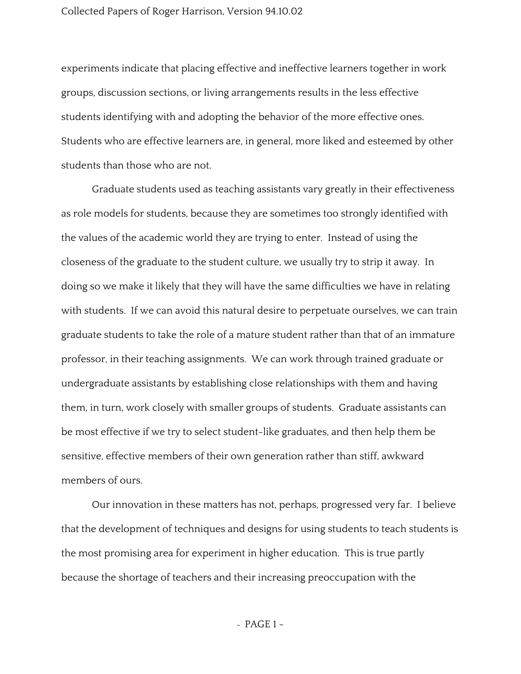experiments indicate that placing effective and ineffective learners together in work groups, discussion sections, or living arrangements results in the less effective students identifying with and adopting the behavior of the more effective ones. Students who are effective learners are, in general, more liked and esteemed by other students than those who are not.

Graduate students used as teaching assistants vary greatly in their effectiveness as role models for students, because they are sometimes too strongly identified with the values of the academic world they are trying to enter. Instead of using the closeness of the graduate to the student culture, we usually try to strip it away. In doing so we make it likely that they will have the same difficulties we have in relating with students. If we can avoid this natural desire to perpetuate ourselves, we can train graduate students to take the role of a mature student rather than that of an immature professor, in their teaching assignments. We can work through trained graduate or undergraduate assistants by establishing close relationships with them and having them, in turn, work closely with smaller groups of students. Graduate assistants can be most effective if we try to select student-like graduates, and then help them be sensitive, effective members of their own generation rather than stiff, awkward members of ours.

Our innovation in these matters has not, perhaps, progressed very far. I believe that the development of techniques and designs for using students to teach students is the most promising area for experiment in higher education. This is true partly because the shortage of teachers and their increasing preoccupation with the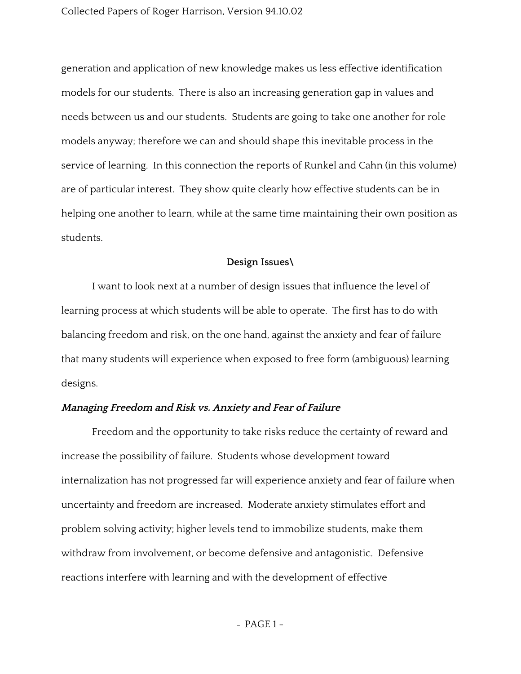generation and application of new knowledge makes us less effective identification models for our students. There is also an increasing generation gap in values and needs between us and our students. Students are going to take one another for role models anyway; therefore we can and should shape this inevitable process in the service of learning. In this connection the reports of Runkel and Cahn (in this volume) are of particular interest. They show quite clearly how effective students can be in helping one another to learn, while at the same time maintaining their own position as students.

# **Design Issues\**

I want to look next at a number of design issues that influence the level of learning process at which students will be able to operate. The first has to do with balancing freedom and risk, on the one hand, against the anxiety and fear of failure that many students will experience when exposed to free form (ambiguous) learning designs.

# **Managing Freedom and Risk vs. Anxiety and Fear of Failure**

Freedom and the opportunity to take risks reduce the certainty of reward and increase the possibility of failure. Students whose development toward internalization has not progressed far will experience anxiety and fear of failure when uncertainty and freedom are increased. Moderate anxiety stimulates effort and problem solving activity; higher levels tend to immobilize students, make them withdraw from involvement, or become defensive and antagonistic. Defensive reactions interfere with learning and with the development of effective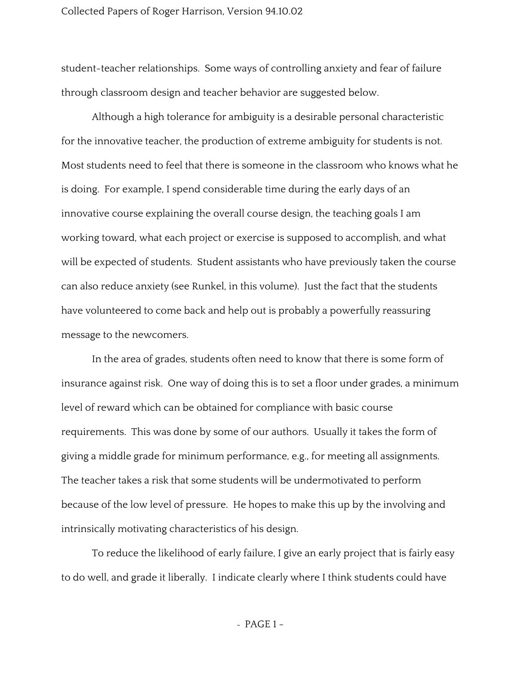student-teacher relationships. Some ways of controlling anxiety and fear of failure through classroom design and teacher behavior are suggested below.

Although a high tolerance for ambiguity is a desirable personal characteristic for the innovative teacher, the production of extreme ambiguity for students is not. Most students need to feel that there is someone in the classroom who knows what he is doing. For example, I spend considerable time during the early days of an innovative course explaining the overall course design, the teaching goals I am working toward, what each project or exercise is supposed to accomplish, and what will be expected of students. Student assistants who have previously taken the course can also reduce anxiety (see Runkel, in this volume). Just the fact that the students have volunteered to come back and help out is probably a powerfully reassuring message to the newcomers.

In the area of grades, students often need to know that there is some form of insurance against risk. One way of doing this is to set a floor under grades, a minimum level of reward which can be obtained for compliance with basic course requirements. This was done by some of our authors. Usually it takes the form of giving a middle grade for minimum performance, e.g., for meeting all assignments. The teacher takes a risk that some students will be undermotivated to perform because of the low level of pressure. He hopes to make this up by the involving and intrinsically motivating characteristics of his design.

To reduce the likelihood of early failure, I give an early project that is fairly easy to do well, and grade it liberally. I indicate clearly where I think students could have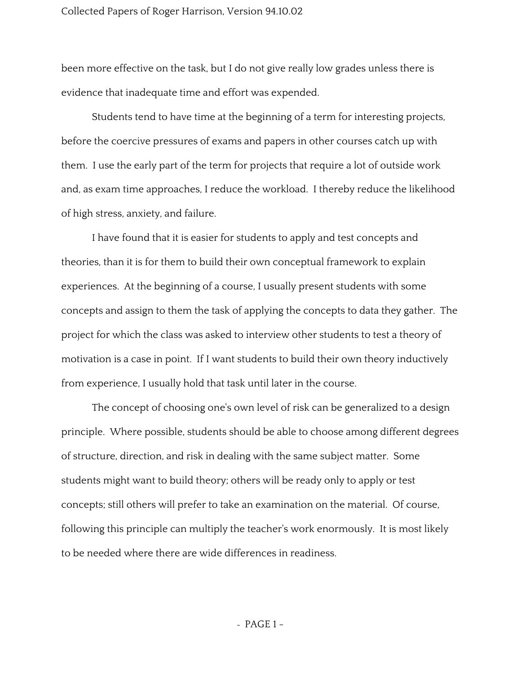been more effective on the task, but I do not give really low grades unless there is evidence that inadequate time and effort was expended.

Students tend to have time at the beginning of a term for interesting projects, before the coercive pressures of exams and papers in other courses catch up with them. I use the early part of the term for projects that require a lot of outside work and, as exam time approaches, I reduce the workload. I thereby reduce the likelihood of high stress, anxiety, and failure.

I have found that it is easier for students to apply and test concepts and theories, than it is for them to build their own conceptual framework to explain experiences. At the beginning of a course, I usually present students with some concepts and assign to them the task of applying the concepts to data they gather. The project for which the class was asked to interview other students to test a theory of motivation is a case in point. If I want students to build their own theory inductively from experience, I usually hold that task until later in the course.

The concept of choosing one's own level of risk can be generalized to a design principle. Where possible, students should be able to choose among different degrees of structure, direction, and risk in dealing with the same subject matter. Some students might want to build theory; others will be ready only to apply or test concepts; still others will prefer to take an examination on the material. Of course, following this principle can multiply the teacher's work enormously. It is most likely to be needed where there are wide differences in readiness.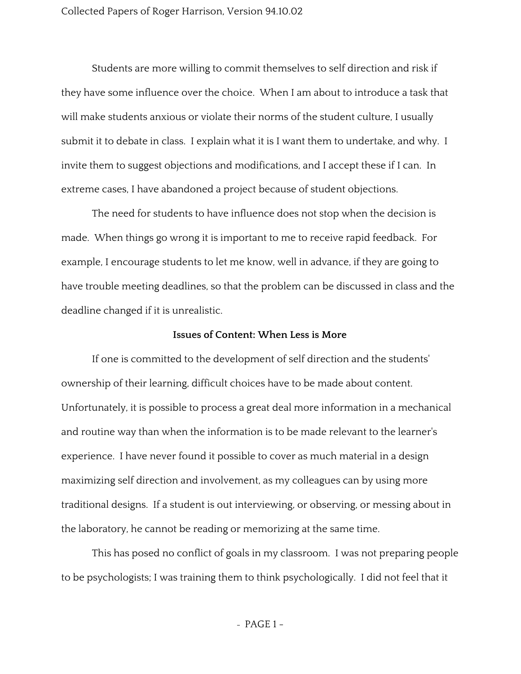Students are more willing to commit themselves to self direction and risk if they have some influence over the choice. When I am about to introduce a task that will make students anxious or violate their norms of the student culture, I usually submit it to debate in class. I explain what it is I want them to undertake, and why. I invite them to suggest objections and modifications, and I accept these if I can. In extreme cases, I have abandoned a project because of student objections.

The need for students to have influence does not stop when the decision is made. When things go wrong it is important to me to receive rapid feedback. For example, I encourage students to let me know, well in advance, if they are going to have trouble meeting deadlines, so that the problem can be discussed in class and the deadline changed if it is unrealistic.

# **Issues of Content: When Less is More**

If one is committed to the development of self direction and the students' ownership of their learning, difficult choices have to be made about content. Unfortunately, it is possible to process a great deal more information in a mechanical and routine way than when the information is to be made relevant to the learner's experience. I have never found it possible to cover as much material in a design maximizing self direction and involvement, as my colleagues can by using more traditional designs. If a student is out interviewing, or observing, or messing about in the laboratory, he cannot be reading or memorizing at the same time.

This has posed no conflict of goals in my classroom. I was not preparing people to be psychologists; I was training them to think psychologically. I did not feel that it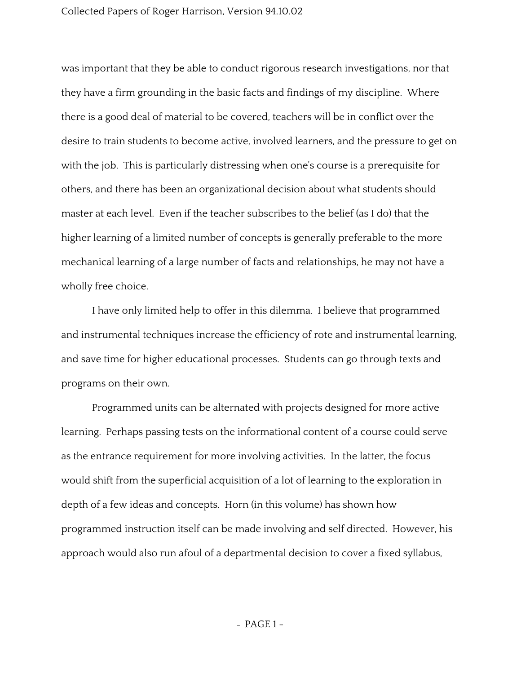was important that they be able to conduct rigorous research investigations, nor that they have a firm grounding in the basic facts and findings of my discipline. Where there is a good deal of material to be covered, teachers will be in conflict over the desire to train students to become active, involved learners, and the pressure to get on with the job. This is particularly distressing when one's course is a prerequisite for others, and there has been an organizational decision about what students should master at each level. Even if the teacher subscribes to the belief (as I do) that the higher learning of a limited number of concepts is generally preferable to the more mechanical learning of a large number of facts and relationships, he may not have a wholly free choice.

I have only limited help to offer in this dilemma. I believe that programmed and instrumental techniques increase the efficiency of rote and instrumental learning, and save time for higher educational processes. Students can go through texts and programs on their own.

Programmed units can be alternated with projects designed for more active learning. Perhaps passing tests on the informational content of a course could serve as the entrance requirement for more involving activities. In the latter, the focus would shift from the superficial acquisition of a lot of learning to the exploration in depth of a few ideas and concepts. Horn (in this volume) has shown how programmed instruction itself can be made involving and self directed. However, his approach would also run afoul of a departmental decision to cover a fixed syllabus,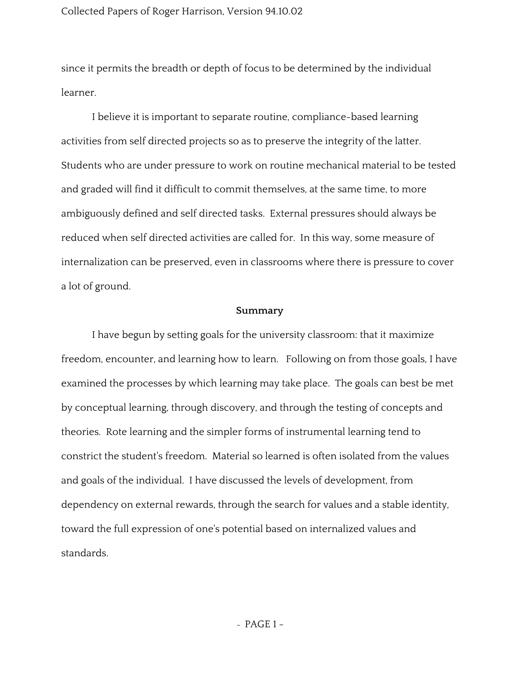since it permits the breadth or depth of focus to be determined by the individual learner.

I believe it is important to separate routine, compliance-based learning activities from self directed projects so as to preserve the integrity of the latter. Students who are under pressure to work on routine mechanical material to be tested and graded will find it difficult to commit themselves, at the same time, to more ambiguously defined and self directed tasks. External pressures should always be reduced when self directed activities are called for. In this way, some measure of internalization can be preserved, even in classrooms where there is pressure to cover a lot of ground.

# **Summary**

I have begun by setting goals for the university classroom: that it maximize freedom, encounter, and learning how to learn. Following on from those goals, I have examined the processes by which learning may take place. The goals can best be met by conceptual learning, through discovery, and through the testing of concepts and theories. Rote learning and the simpler forms of instrumental learning tend to constrict the student's freedom. Material so learned is often isolated from the values and goals of the individual. I have discussed the levels of development, from dependency on external rewards, through the search for values and a stable identity, toward the full expression of one's potential based on internalized values and standards.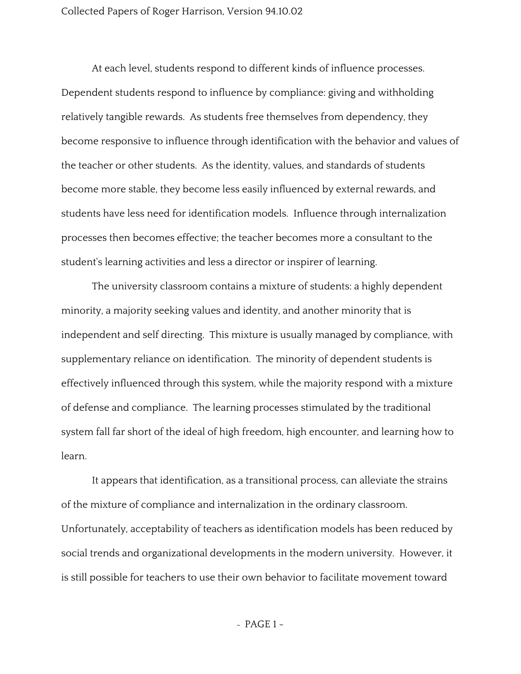At each level, students respond to different kinds of influence processes. Dependent students respond to influence by compliance: giving and withholding relatively tangible rewards. As students free themselves from dependency, they become responsive to influence through identification with the behavior and values of the teacher or other students. As the identity, values, and standards of students become more stable, they become less easily influenced by external rewards, and students have less need for identification models. Influence through internalization processes then becomes effective; the teacher becomes more a consultant to the student's learning activities and less a director or inspirer of learning.

The university classroom contains a mixture of students: a highly dependent minority, a majority seeking values and identity, and another minority that is independent and self directing. This mixture is usually managed by compliance, with supplementary reliance on identification. The minority of dependent students is effectively influenced through this system, while the majority respond with a mixture of defense and compliance. The learning processes stimulated by the traditional system fall far short of the ideal of high freedom, high encounter, and learning how to learn.

It appears that identification, as a transitional process, can alleviate the strains of the mixture of compliance and internalization in the ordinary classroom. Unfortunately, acceptability of teachers as identification models has been reduced by social trends and organizational developments in the modern university. However, it is still possible for teachers to use their own behavior to facilitate movement toward